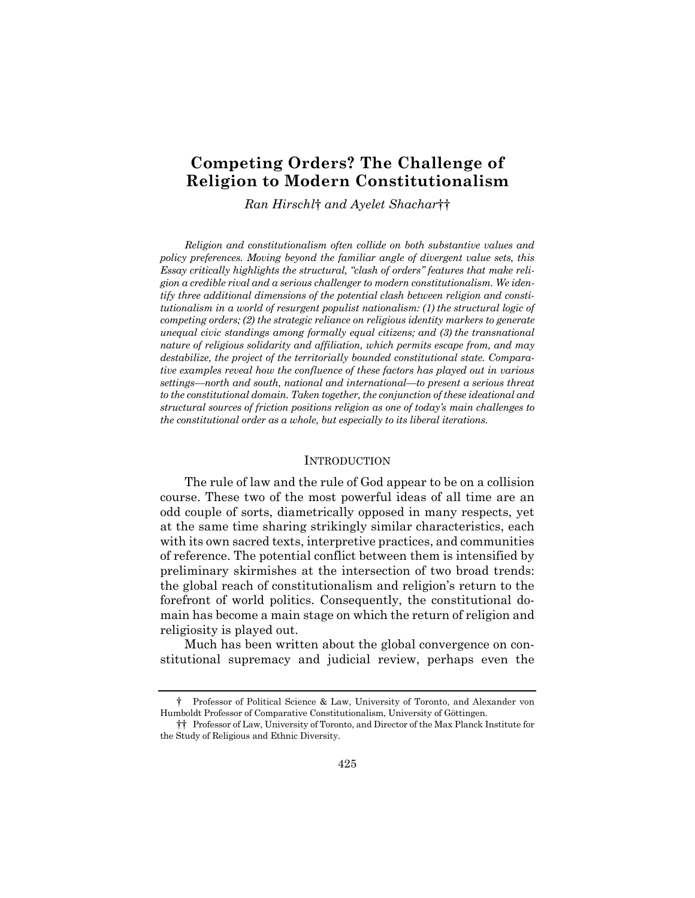# **Competing Orders? The Challenge of Religion to Modern Constitutionalism**

*Ran Hirschl*† *and Ayelet Shachar*††

*Religion and constitutionalism often collide on both substantive values and policy preferences. Moving beyond the familiar angle of divergent value sets, this Essay critically highlights the structural, "clash of orders" features that make religion a credible rival and a serious challenger to modern constitutionalism. We identify three additional dimensions of the potential clash between religion and constitutionalism in a world of resurgent populist nationalism: (1) the structural logic of competing orders; (2) the strategic reliance on religious identity markers to generate unequal civic standings among formally equal citizens; and (3) the transnational nature of religious solidarity and affiliation, which permits escape from, and may destabilize, the project of the territorially bounded constitutional state. Comparative examples reveal how the confluence of these factors has played out in various settings—north and south, national and international—to present a serious threat to the constitutional domain. Taken together, the conjunction of these ideational and structural sources of friction positions religion as one of today's main challenges to the constitutional order as a whole, but especially to its liberal iterations.* 

#### INTRODUCTION

The rule of law and the rule of God appear to be on a collision course. These two of the most powerful ideas of all time are an odd couple of sorts, diametrically opposed in many respects, yet at the same time sharing strikingly similar characteristics, each with its own sacred texts, interpretive practices, and communities of reference. The potential conflict between them is intensified by preliminary skirmishes at the intersection of two broad trends: the global reach of constitutionalism and religion's return to the forefront of world politics. Consequently, the constitutional domain has become a main stage on which the return of religion and religiosity is played out.

Much has been written about the global convergence on constitutional supremacy and judicial review, perhaps even the

<sup>†</sup> Professor of Political Science & Law, University of Toronto, and Alexander von Humboldt Professor of Comparative Constitutionalism, University of Göttingen.

<sup>††</sup> Professor of Law, University of Toronto, and Director of the Max Planck Institute for the Study of Religious and Ethnic Diversity.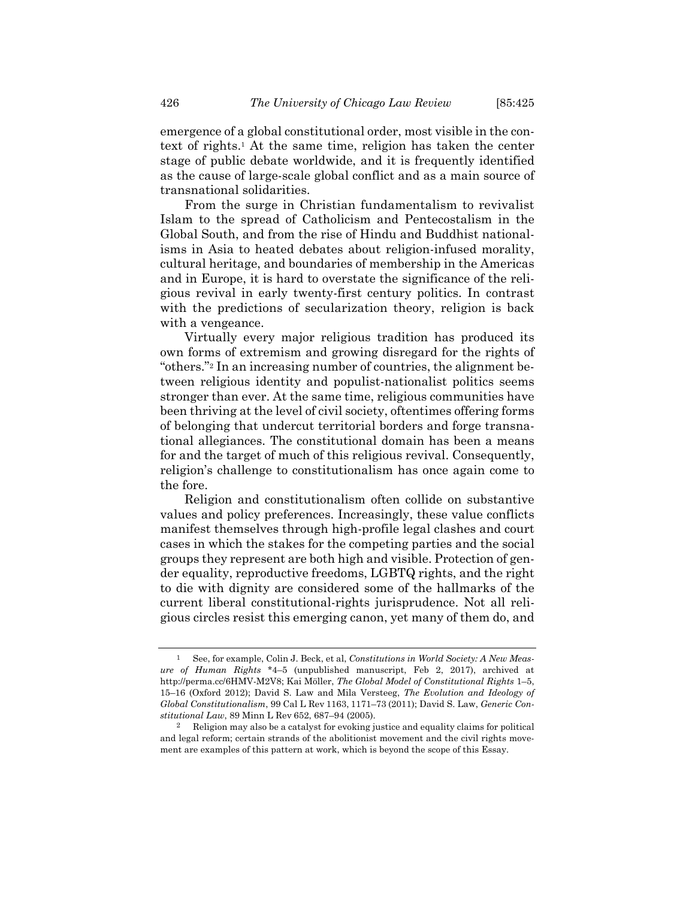emergence of a global constitutional order, most visible in the context of rights.1 At the same time, religion has taken the center stage of public debate worldwide, and it is frequently identified as the cause of large-scale global conflict and as a main source of transnational solidarities.

From the surge in Christian fundamentalism to revivalist Islam to the spread of Catholicism and Pentecostalism in the Global South, and from the rise of Hindu and Buddhist nationalisms in Asia to heated debates about religion-infused morality, cultural heritage, and boundaries of membership in the Americas and in Europe, it is hard to overstate the significance of the religious revival in early twenty-first century politics. In contrast with the predictions of secularization theory, religion is back with a vengeance.

Virtually every major religious tradition has produced its own forms of extremism and growing disregard for the rights of "others."2 In an increasing number of countries, the alignment between religious identity and populist-nationalist politics seems stronger than ever. At the same time, religious communities have been thriving at the level of civil society, oftentimes offering forms of belonging that undercut territorial borders and forge transnational allegiances. The constitutional domain has been a means for and the target of much of this religious revival. Consequently, religion's challenge to constitutionalism has once again come to the fore.

Religion and constitutionalism often collide on substantive values and policy preferences. Increasingly, these value conflicts manifest themselves through high-profile legal clashes and court cases in which the stakes for the competing parties and the social groups they represent are both high and visible. Protection of gender equality, reproductive freedoms, LGBTQ rights, and the right to die with dignity are considered some of the hallmarks of the current liberal constitutional-rights jurisprudence. Not all religious circles resist this emerging canon, yet many of them do, and

See, for example, Colin J. Beck, et al, *Constitutions in World Society: A New Measure of Human Rights* \*4–5 (unpublished manuscript, Feb 2, 2017), archived at http://perma.cc/6HMV-M2V8; Kai Möller, *The Global Model of Constitutional Rights* 1–5, 15–16 (Oxford 2012); David S. Law and Mila Versteeg, *The Evolution and Ideology of Global Constitutionalism*, 99 Cal L Rev 1163, 1171–73 (2011); David S. Law, *Generic Constitutional Law*, 89 Minn L Rev 652, 687–94 (2005).

<sup>2</sup> Religion may also be a catalyst for evoking justice and equality claims for political and legal reform; certain strands of the abolitionist movement and the civil rights movement are examples of this pattern at work, which is beyond the scope of this Essay.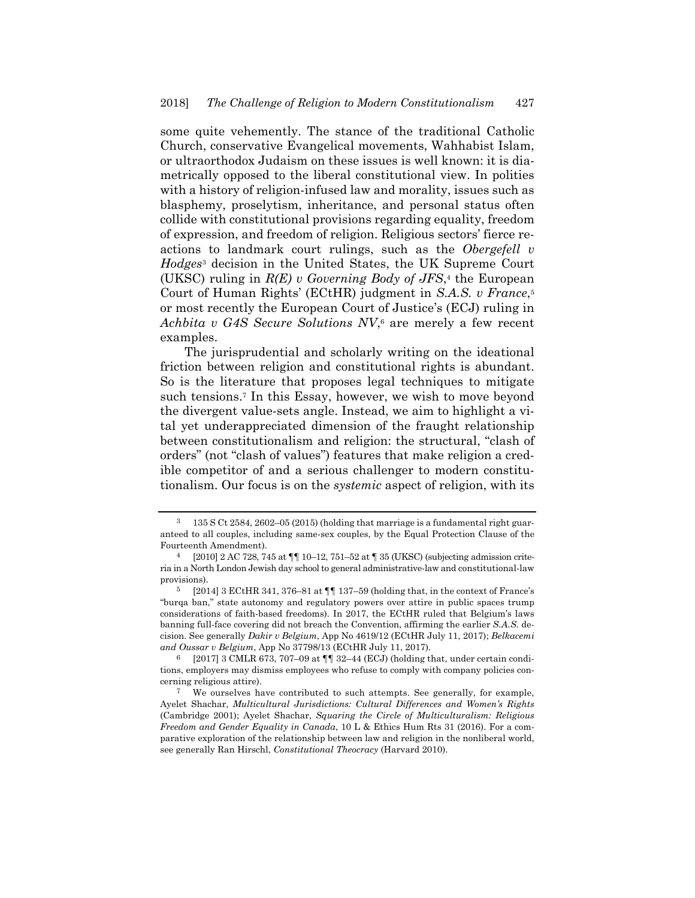some quite vehemently. The stance of the traditional Catholic Church, conservative Evangelical movements, Wahhabist Islam, or ultraorthodox Judaism on these issues is well known: it is diametrically opposed to the liberal constitutional view. In polities with a history of religion-infused law and morality, issues such as blasphemy, proselytism, inheritance, and personal status often collide with constitutional provisions regarding equality, freedom of expression, and freedom of religion. Religious sectors' fierce reactions to landmark court rulings, such as the *Obergefell v Hodges*3 decision in the United States, the UK Supreme Court (UKSC) ruling in *R(E) v Governing Body of JFS*,4 the European Court of Human Rights' (ECtHR) judgment in *S.A.S. v France*,5 or most recently the European Court of Justice's (ECJ) ruling in *Achbita v G4S Secure Solutions NV*,6 are merely a few recent examples.

The jurisprudential and scholarly writing on the ideational friction between religion and constitutional rights is abundant. So is the literature that proposes legal techniques to mitigate such tensions.7 In this Essay, however, we wish to move beyond the divergent value-sets angle. Instead, we aim to highlight a vital yet underappreciated dimension of the fraught relationship between constitutionalism and religion: the structural, "clash of orders" (not "clash of values") features that make religion a credible competitor of and a serious challenger to modern constitutionalism. Our focus is on the *systemic* aspect of religion, with its

<sup>3 135</sup> S Ct 2584, 2602–05 (2015) (holding that marriage is a fundamental right guaranteed to all couples, including same-sex couples, by the Equal Protection Clause of the Fourteenth Amendment).

 $[2010]$  2 AC 728, 745 at  $\P$  10–12, 751–52 at  $\P$  35 (UKSC) (subjecting admission criteria in a North London Jewish day school to general administrative-law and constitutional-law provisions).

 $5$  [2014] 3 ECtHR 341, 376–81 at  $\P\P$  137–59 (holding that, in the context of France's "burqa ban," state autonomy and regulatory powers over attire in public spaces trump considerations of faith-based freedoms). In 2017, the ECtHR ruled that Belgium's laws banning full-face covering did not breach the Convention, affirming the earlier *S.A.S.* decision. See generally *Dakir v Belgium*, App No 4619/12 (ECtHR July 11, 2017); *Belkacemi and Oussar v Belgium*, App No 37798/13 (ECtHR July 11, 2017).

<sup>[2017] 3</sup> CMLR 673, 707–09 at  $\P$  32–44 (ECJ) (holding that, under certain conditions, employers may dismiss employees who refuse to comply with company policies concerning religious attire).

<sup>7</sup> We ourselves have contributed to such attempts. See generally, for example, Ayelet Shachar, *Multicultural Jurisdictions: Cultural Differences and Women's Rights* (Cambridge 2001); Ayelet Shachar, *Squaring the Circle of Multiculturalism: Religious Freedom and Gender Equality in Canada*, 10 L & Ethics Hum Rts 31 (2016). For a comparative exploration of the relationship between law and religion in the nonliberal world, see generally Ran Hirschl, *Constitutional Theocracy* (Harvard 2010).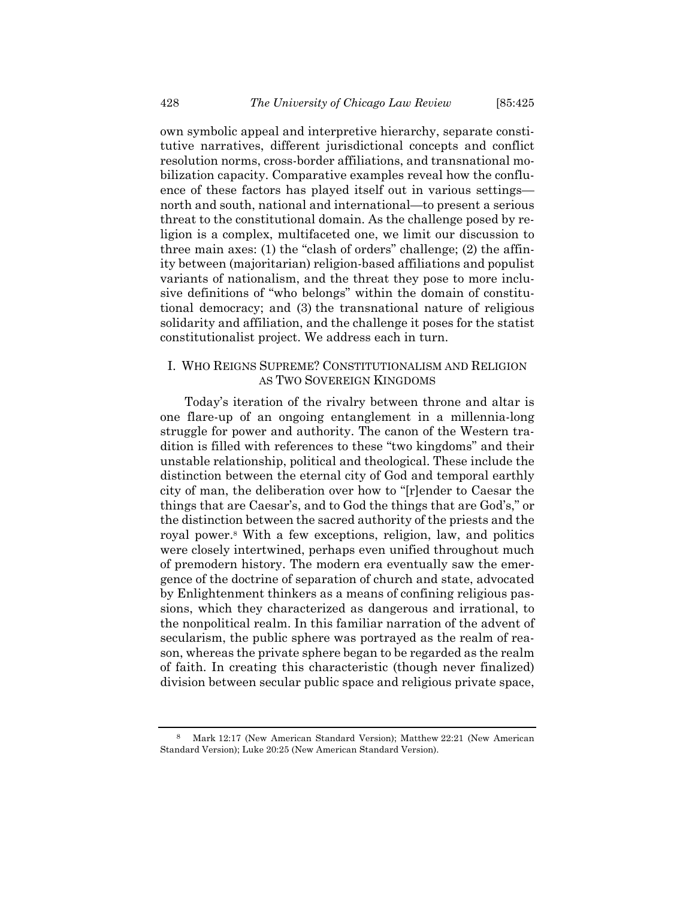own symbolic appeal and interpretive hierarchy, separate constitutive narratives, different jurisdictional concepts and conflict resolution norms, cross-border affiliations, and transnational mobilization capacity. Comparative examples reveal how the confluence of these factors has played itself out in various settings north and south, national and international—to present a serious threat to the constitutional domain. As the challenge posed by religion is a complex, multifaceted one, we limit our discussion to three main axes: (1) the "clash of orders" challenge; (2) the affinity between (majoritarian) religion-based affiliations and populist variants of nationalism, and the threat they pose to more inclusive definitions of "who belongs" within the domain of constitutional democracy; and (3) the transnational nature of religious solidarity and affiliation, and the challenge it poses for the statist constitutionalist project. We address each in turn.

### I. WHO REIGNS SUPREME? CONSTITUTIONALISM AND RELIGION AS TWO SOVEREIGN KINGDOMS

Today's iteration of the rivalry between throne and altar is one flare-up of an ongoing entanglement in a millennia-long struggle for power and authority. The canon of the Western tradition is filled with references to these "two kingdoms" and their unstable relationship, political and theological. These include the distinction between the eternal city of God and temporal earthly city of man, the deliberation over how to "[r]ender to Caesar the things that are Caesar's, and to God the things that are God's," or the distinction between the sacred authority of the priests and the royal power.8 With a few exceptions, religion, law, and politics were closely intertwined, perhaps even unified throughout much of premodern history. The modern era eventually saw the emergence of the doctrine of separation of church and state, advocated by Enlightenment thinkers as a means of confining religious passions, which they characterized as dangerous and irrational, to the nonpolitical realm. In this familiar narration of the advent of secularism, the public sphere was portrayed as the realm of reason, whereas the private sphere began to be regarded as the realm of faith. In creating this characteristic (though never finalized) division between secular public space and religious private space,

<sup>8</sup> Mark 12:17 (New American Standard Version); Matthew 22:21 (New American Standard Version); Luke 20:25 (New American Standard Version).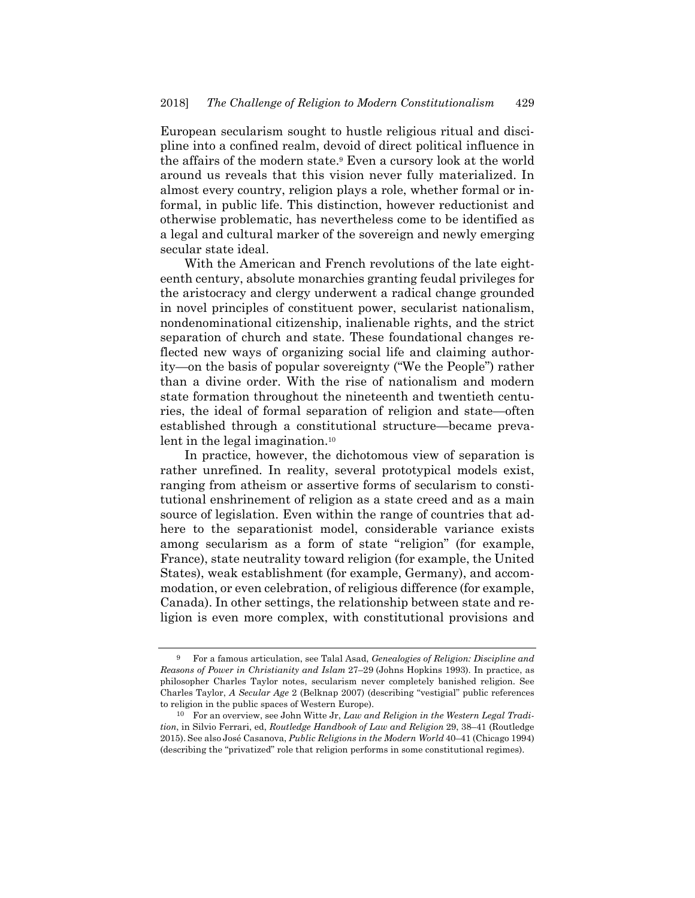European secularism sought to hustle religious ritual and discipline into a confined realm, devoid of direct political influence in the affairs of the modern state.9 Even a cursory look at the world around us reveals that this vision never fully materialized. In almost every country, religion plays a role, whether formal or informal, in public life. This distinction, however reductionist and otherwise problematic, has nevertheless come to be identified as a legal and cultural marker of the sovereign and newly emerging secular state ideal.

With the American and French revolutions of the late eighteenth century, absolute monarchies granting feudal privileges for the aristocracy and clergy underwent a radical change grounded in novel principles of constituent power, secularist nationalism, nondenominational citizenship, inalienable rights, and the strict separation of church and state. These foundational changes reflected new ways of organizing social life and claiming authority—on the basis of popular sovereignty ("We the People") rather than a divine order. With the rise of nationalism and modern state formation throughout the nineteenth and twentieth centuries, the ideal of formal separation of religion and state—often established through a constitutional structure—became prevalent in the legal imagination.<sup>10</sup>

In practice, however, the dichotomous view of separation is rather unrefined. In reality, several prototypical models exist, ranging from atheism or assertive forms of secularism to constitutional enshrinement of religion as a state creed and as a main source of legislation. Even within the range of countries that adhere to the separationist model, considerable variance exists among secularism as a form of state "religion" (for example, France), state neutrality toward religion (for example, the United States), weak establishment (for example, Germany), and accommodation, or even celebration, of religious difference (for example, Canada). In other settings, the relationship between state and religion is even more complex, with constitutional provisions and

<sup>9</sup> For a famous articulation, see Talal Asad, *Genealogies of Religion: Discipline and Reasons of Power in Christianity and Islam* 27–29 (Johns Hopkins 1993). In practice, as philosopher Charles Taylor notes, secularism never completely banished religion. See Charles Taylor, *A Secular Age* 2 (Belknap 2007) (describing "vestigial" public references to religion in the public spaces of Western Europe).

<sup>10</sup> For an overview, see John Witte Jr, *Law and Religion in the Western Legal Tradition*, in Silvio Ferrari, ed, *Routledge Handbook of Law and Religion* 29, 38–41 (Routledge 2015). See also José Casanova, *Public Religions in the Modern World* 40–41 (Chicago 1994) (describing the "privatized" role that religion performs in some constitutional regimes).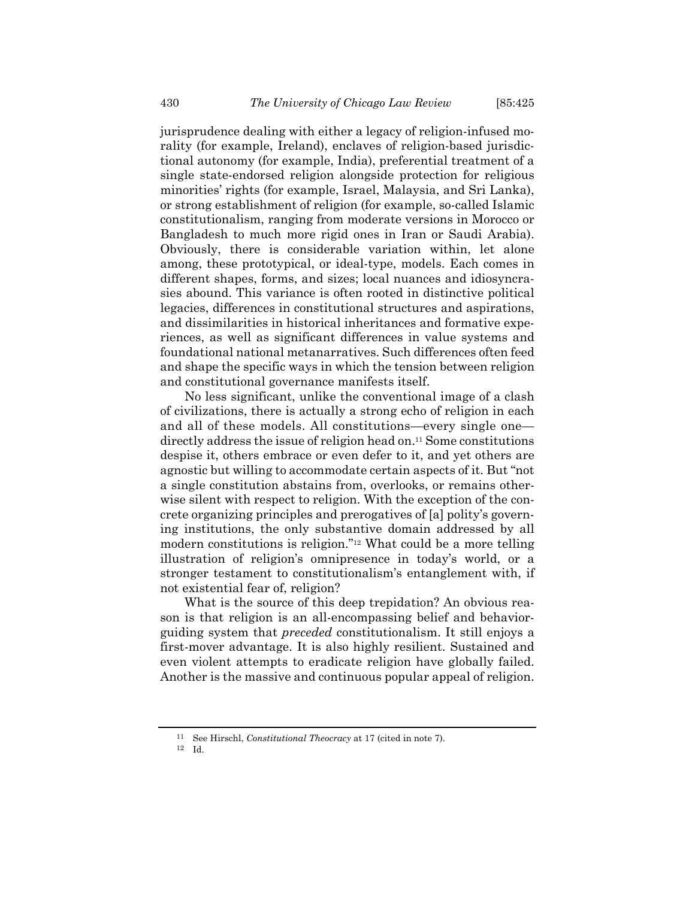jurisprudence dealing with either a legacy of religion-infused morality (for example, Ireland), enclaves of religion-based jurisdictional autonomy (for example, India), preferential treatment of a single state-endorsed religion alongside protection for religious minorities' rights (for example, Israel, Malaysia, and Sri Lanka), or strong establishment of religion (for example, so-called Islamic constitutionalism, ranging from moderate versions in Morocco or Bangladesh to much more rigid ones in Iran or Saudi Arabia). Obviously, there is considerable variation within, let alone among, these prototypical, or ideal-type, models. Each comes in different shapes, forms, and sizes; local nuances and idiosyncrasies abound. This variance is often rooted in distinctive political legacies, differences in constitutional structures and aspirations, and dissimilarities in historical inheritances and formative experiences, as well as significant differences in value systems and foundational national metanarratives. Such differences often feed and shape the specific ways in which the tension between religion and constitutional governance manifests itself.

No less significant, unlike the conventional image of a clash of civilizations, there is actually a strong echo of religion in each and all of these models. All constitutions—every single one directly address the issue of religion head on.11 Some constitutions despise it, others embrace or even defer to it, and yet others are agnostic but willing to accommodate certain aspects of it. But "not a single constitution abstains from, overlooks, or remains otherwise silent with respect to religion. With the exception of the concrete organizing principles and prerogatives of [a] polity's governing institutions, the only substantive domain addressed by all modern constitutions is religion."12 What could be a more telling illustration of religion's omnipresence in today's world, or a stronger testament to constitutionalism's entanglement with, if not existential fear of, religion?

What is the source of this deep trepidation? An obvious reason is that religion is an all-encompassing belief and behaviorguiding system that *preceded* constitutionalism. It still enjoys a first-mover advantage. It is also highly resilient. Sustained and even violent attempts to eradicate religion have globally failed. Another is the massive and continuous popular appeal of religion.

<sup>11</sup> See Hirschl, *Constitutional Theocracy* at 17 (cited in note 7).

<sup>12</sup> Id.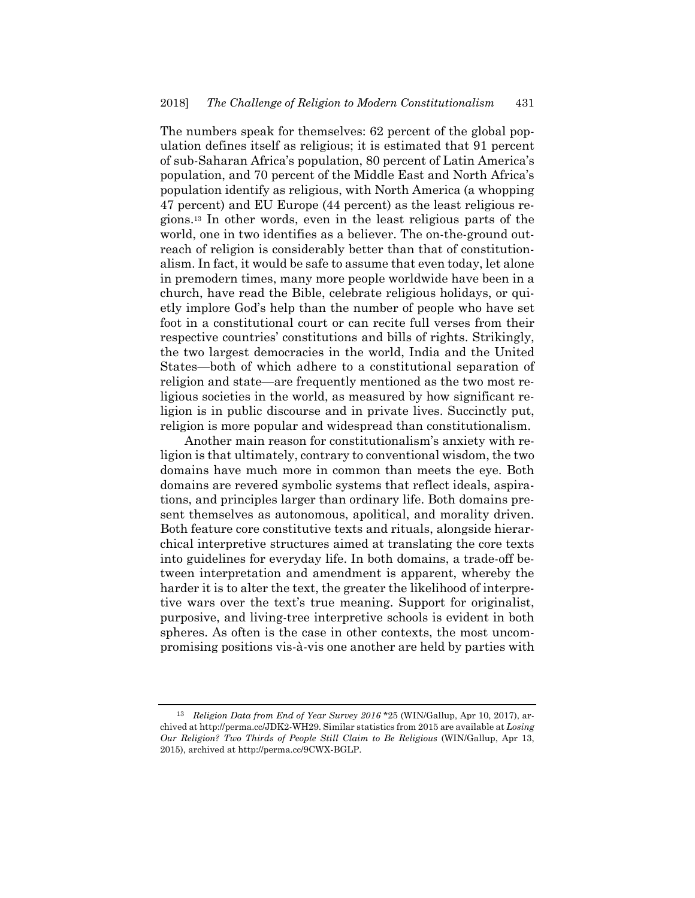The numbers speak for themselves: 62 percent of the global population defines itself as religious; it is estimated that 91 percent of sub-Saharan Africa's population, 80 percent of Latin America's population, and 70 percent of the Middle East and North Africa's population identify as religious, with North America (a whopping 47 percent) and EU Europe (44 percent) as the least religious regions.13 In other words, even in the least religious parts of the world, one in two identifies as a believer. The on-the-ground outreach of religion is considerably better than that of constitutionalism. In fact, it would be safe to assume that even today, let alone in premodern times, many more people worldwide have been in a church, have read the Bible, celebrate religious holidays, or quietly implore God's help than the number of people who have set foot in a constitutional court or can recite full verses from their respective countries' constitutions and bills of rights. Strikingly, the two largest democracies in the world, India and the United States—both of which adhere to a constitutional separation of religion and state—are frequently mentioned as the two most religious societies in the world, as measured by how significant religion is in public discourse and in private lives. Succinctly put, religion is more popular and widespread than constitutionalism.

Another main reason for constitutionalism's anxiety with religion is that ultimately, contrary to conventional wisdom, the two domains have much more in common than meets the eye. Both domains are revered symbolic systems that reflect ideals, aspirations, and principles larger than ordinary life. Both domains present themselves as autonomous, apolitical, and morality driven. Both feature core constitutive texts and rituals, alongside hierarchical interpretive structures aimed at translating the core texts into guidelines for everyday life. In both domains, a trade-off between interpretation and amendment is apparent, whereby the harder it is to alter the text, the greater the likelihood of interpretive wars over the text's true meaning. Support for originalist, purposive, and living-tree interpretive schools is evident in both spheres. As often is the case in other contexts, the most uncompromising positions vis-à-vis one another are held by parties with

<sup>13</sup> *Religion Data from End of Year Survey 2016* \*25 (WIN/Gallup, Apr 10, 2017), archived at http://perma.cc/JDK2-WH29. Similar statistics from 2015 are available at *Losing Our Religion? Two Thirds of People Still Claim to Be Religious* (WIN/Gallup, Apr 13, 2015), archived at http://perma.cc/9CWX-BGLP.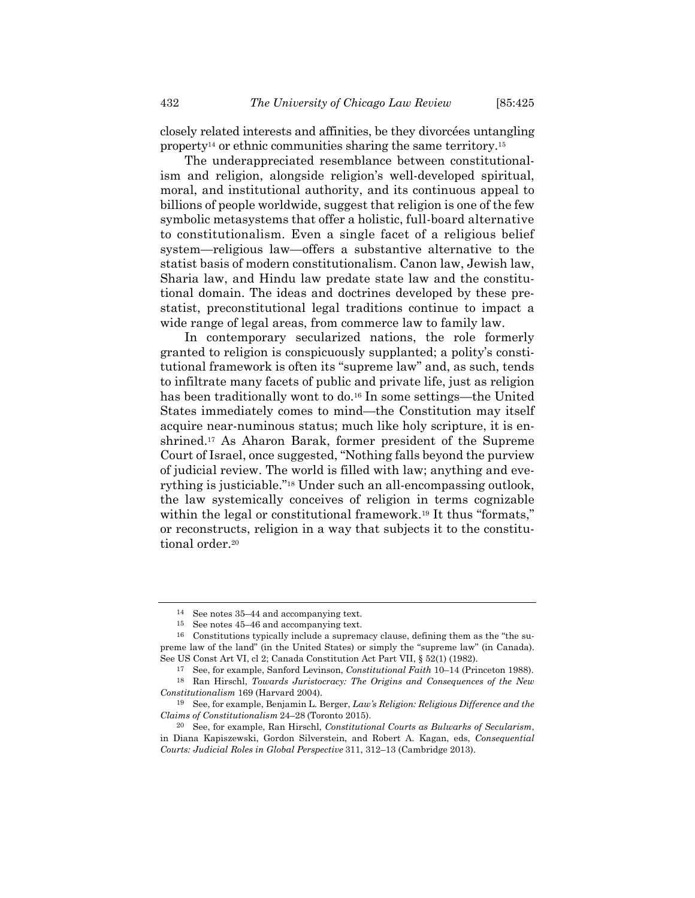closely related interests and affinities, be they divorcées untangling property<sup>14</sup> or ethnic communities sharing the same territory.<sup>15</sup>

The underappreciated resemblance between constitutionalism and religion, alongside religion's well-developed spiritual, moral, and institutional authority, and its continuous appeal to billions of people worldwide, suggest that religion is one of the few symbolic metasystems that offer a holistic, full-board alternative to constitutionalism. Even a single facet of a religious belief system—religious law—offers a substantive alternative to the statist basis of modern constitutionalism. Canon law, Jewish law, Sharia law, and Hindu law predate state law and the constitutional domain. The ideas and doctrines developed by these prestatist, preconstitutional legal traditions continue to impact a wide range of legal areas, from commerce law to family law.

In contemporary secularized nations, the role formerly granted to religion is conspicuously supplanted; a polity's constitutional framework is often its "supreme law" and, as such, tends to infiltrate many facets of public and private life, just as religion has been traditionally wont to do.<sup>16</sup> In some settings—the United States immediately comes to mind—the Constitution may itself acquire near-numinous status; much like holy scripture, it is enshrined.17 As Aharon Barak, former president of the Supreme Court of Israel, once suggested, "Nothing falls beyond the purview of judicial review. The world is filled with law; anything and everything is justiciable."18 Under such an all-encompassing outlook, the law systemically conceives of religion in terms cognizable within the legal or constitutional framework.<sup>19</sup> It thus "formats," or reconstructs, religion in a way that subjects it to the constitutional order.<sup>20</sup>

<sup>14</sup> See notes 35–44 and accompanying text.

<sup>15</sup> See notes 45–46 and accompanying text.

<sup>16</sup> Constitutions typically include a supremacy clause, defining them as the "the supreme law of the land" (in the United States) or simply the "supreme law" (in Canada). See US Const Art VI, cl 2; Canada Constitution Act Part VII, § 52(1) (1982).

<sup>17</sup> See, for example, Sanford Levinson, *Constitutional Faith* 10–14 (Princeton 1988). 18 Ran Hirschl, *Towards Juristocracy: The Origins and Consequences of the New* 

*Constitutionalism* 169 (Harvard 2004). 19 See, for example, Benjamin L. Berger, *Law's Religion: Religious Difference and the* 

*Claims of Constitutionalism* 24–28 (Toronto 2015).

<sup>20</sup> See, for example, Ran Hirschl, *Constitutional Courts as Bulwarks of Secularism*, in Diana Kapiszewski, Gordon Silverstein, and Robert A. Kagan, eds, *Consequential Courts: Judicial Roles in Global Perspective* 311, 312–13 (Cambridge 2013).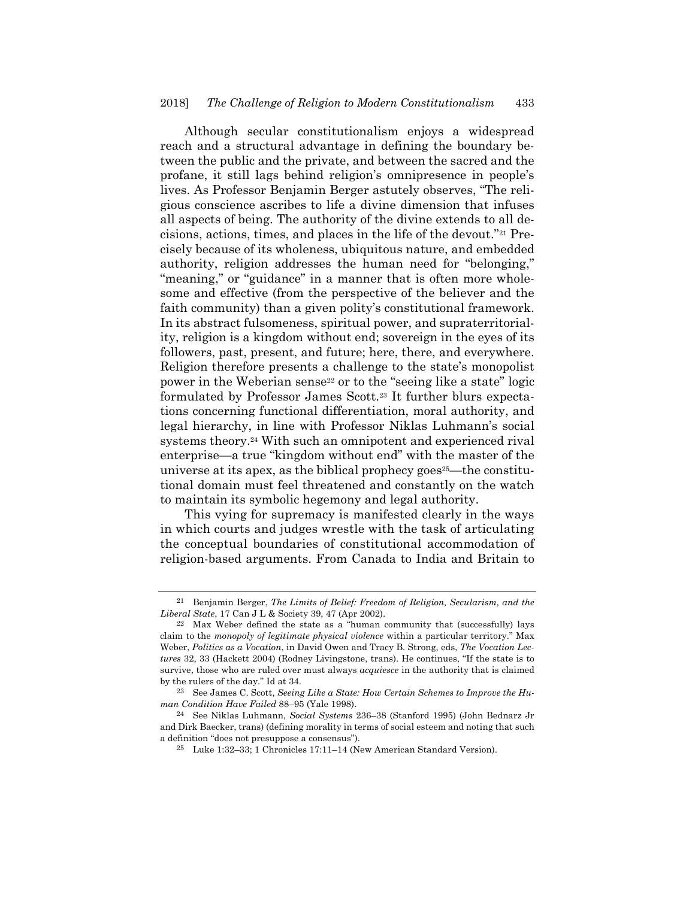Although secular constitutionalism enjoys a widespread reach and a structural advantage in defining the boundary between the public and the private, and between the sacred and the profane, it still lags behind religion's omnipresence in people's lives. As Professor Benjamin Berger astutely observes, "The religious conscience ascribes to life a divine dimension that infuses all aspects of being. The authority of the divine extends to all decisions, actions, times, and places in the life of the devout."21 Precisely because of its wholeness, ubiquitous nature, and embedded authority, religion addresses the human need for "belonging," "meaning," or "guidance" in a manner that is often more wholesome and effective (from the perspective of the believer and the faith community) than a given polity's constitutional framework. In its abstract fulsomeness, spiritual power, and supraterritoriality, religion is a kingdom without end; sovereign in the eyes of its followers, past, present, and future; here, there, and everywhere. Religion therefore presents a challenge to the state's monopolist power in the Weberian sense<sup>22</sup> or to the "seeing like a state" logic formulated by Professor James Scott.23 It further blurs expectations concerning functional differentiation, moral authority, and legal hierarchy, in line with Professor Niklas Luhmann's social systems theory.24 With such an omnipotent and experienced rival enterprise—a true "kingdom without end" with the master of the universe at its apex, as the biblical prophecy goes<sup>25</sup>—the constitutional domain must feel threatened and constantly on the watch to maintain its symbolic hegemony and legal authority.

This vying for supremacy is manifested clearly in the ways in which courts and judges wrestle with the task of articulating the conceptual boundaries of constitutional accommodation of religion-based arguments. From Canada to India and Britain to

<sup>21</sup> Benjamin Berger, *The Limits of Belief: Freedom of Religion, Secularism, and the Liberal State*, 17 Can J L & Society 39, 47 (Apr 2002).

<sup>22</sup> Max Weber defined the state as a "human community that (successfully) lays claim to the *monopoly of legitimate physical violence* within a particular territory." Max Weber, *Politics as a Vocation*, in David Owen and Tracy B. Strong, eds, *The Vocation Lectures* 32, 33 (Hackett 2004) (Rodney Livingstone, trans). He continues, "If the state is to survive, those who are ruled over must always *acquiesce* in the authority that is claimed by the rulers of the day." Id at 34.

<sup>23</sup> See James C. Scott, *Seeing Like a State: How Certain Schemes to Improve the Human Condition Have Failed* 88–95 (Yale 1998).

<sup>24</sup> See Niklas Luhmann, *Social Systems* 236–38 (Stanford 1995) (John Bednarz Jr and Dirk Baecker, trans) (defining morality in terms of social esteem and noting that such a definition "does not presuppose a consensus").

<sup>25</sup> Luke 1:32–33; 1 Chronicles 17:11–14 (New American Standard Version).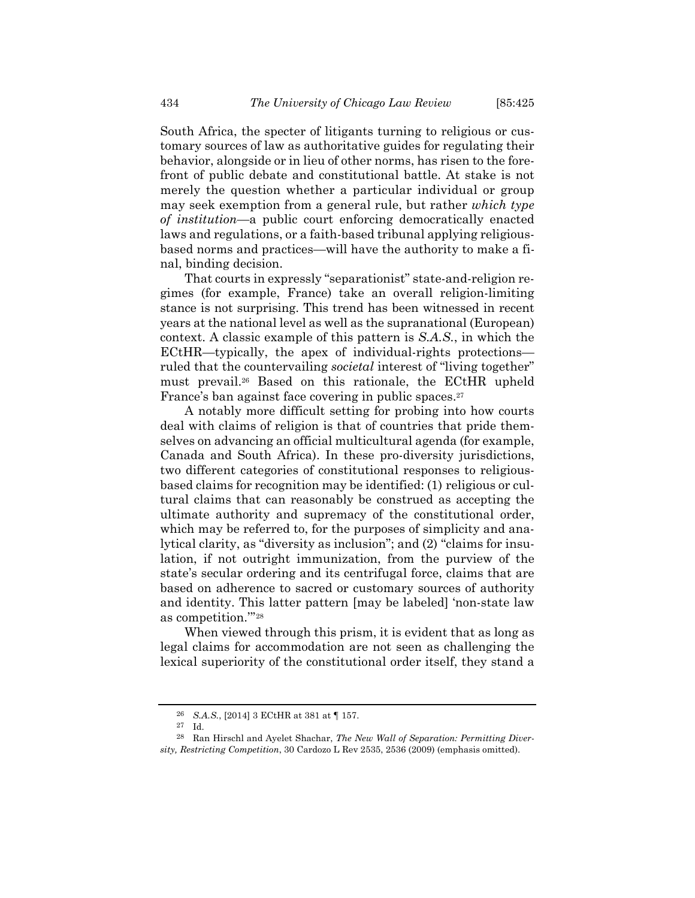South Africa, the specter of litigants turning to religious or customary sources of law as authoritative guides for regulating their behavior, alongside or in lieu of other norms, has risen to the forefront of public debate and constitutional battle. At stake is not merely the question whether a particular individual or group may seek exemption from a general rule, but rather *which type of institution*—a public court enforcing democratically enacted laws and regulations, or a faith-based tribunal applying religiousbased norms and practices—will have the authority to make a final, binding decision.

That courts in expressly "separationist" state-and-religion regimes (for example, France) take an overall religion-limiting stance is not surprising. This trend has been witnessed in recent years at the national level as well as the supranational (European) context. A classic example of this pattern is *S.A.S.*, in which the ECtHR—typically, the apex of individual-rights protections ruled that the countervailing *societal* interest of "living together" must prevail.26 Based on this rationale, the ECtHR upheld France's ban against face covering in public spaces.<sup>27</sup>

A notably more difficult setting for probing into how courts deal with claims of religion is that of countries that pride themselves on advancing an official multicultural agenda (for example, Canada and South Africa). In these pro-diversity jurisdictions, two different categories of constitutional responses to religiousbased claims for recognition may be identified: (1) religious or cultural claims that can reasonably be construed as accepting the ultimate authority and supremacy of the constitutional order, which may be referred to, for the purposes of simplicity and analytical clarity, as "diversity as inclusion"; and (2) "claims for insulation, if not outright immunization, from the purview of the state's secular ordering and its centrifugal force, claims that are based on adherence to sacred or customary sources of authority and identity. This latter pattern [may be labeled] 'non-state law as competition.'"28

When viewed through this prism, it is evident that as long as legal claims for accommodation are not seen as challenging the lexical superiority of the constitutional order itself, they stand a

<sup>26</sup> *S.A.S.*, [2014] 3 ECtHR at 381 at ¶ 157.

<sup>27</sup> Id.

<sup>28</sup> Ran Hirschl and Ayelet Shachar, *The New Wall of Separation: Permitting Diversity, Restricting Competition*, 30 Cardozo L Rev 2535, 2536 (2009) (emphasis omitted).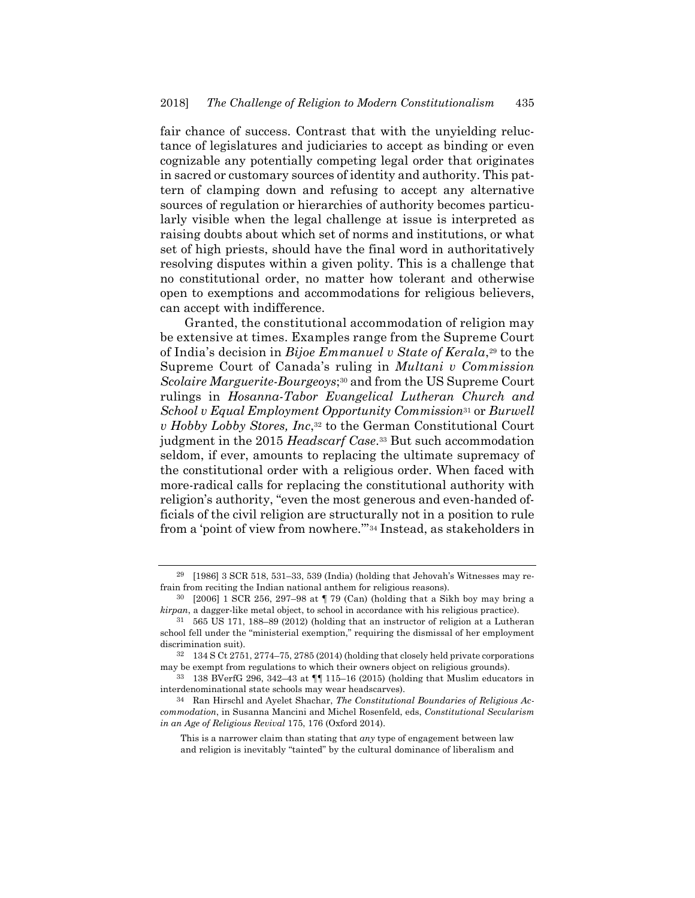fair chance of success. Contrast that with the unyielding reluctance of legislatures and judiciaries to accept as binding or even cognizable any potentially competing legal order that originates in sacred or customary sources of identity and authority. This pattern of clamping down and refusing to accept any alternative sources of regulation or hierarchies of authority becomes particularly visible when the legal challenge at issue is interpreted as raising doubts about which set of norms and institutions, or what set of high priests, should have the final word in authoritatively resolving disputes within a given polity. This is a challenge that no constitutional order, no matter how tolerant and otherwise open to exemptions and accommodations for religious believers, can accept with indifference.

Granted, the constitutional accommodation of religion may be extensive at times. Examples range from the Supreme Court of India's decision in *Bijoe Emmanuel v State of Kerala*,29 to the Supreme Court of Canada's ruling in *Multani v Commission Scolaire Marguerite-Bourgeoys*;30 and from the US Supreme Court rulings in *Hosanna-Tabor Evangelical Lutheran Church and School v Equal Employment Opportunity Commission*31 or *Burwell v Hobby Lobby Stores, Inc*,32 to the German Constitutional Court judgment in the 2015 *Headscarf Case*.33 But such accommodation seldom, if ever, amounts to replacing the ultimate supremacy of the constitutional order with a religious order. When faced with more-radical calls for replacing the constitutional authority with religion's authority, "even the most generous and even-handed officials of the civil religion are structurally not in a position to rule from a 'point of view from nowhere.'"34 Instead, as stakeholders in

<sup>29 [1986] 3</sup> SCR 518, 531–33, 539 (India) (holding that Jehovah's Witnesses may refrain from reciting the Indian national anthem for religious reasons).

 $30$  [2006] 1 SCR 256, 297–98 at  $\P$  79 (Can) (holding that a Sikh boy may bring a *kirpan*, a dagger-like metal object, to school in accordance with his religious practice).

<sup>31 565</sup> US 171, 188–89 (2012) (holding that an instructor of religion at a Lutheran school fell under the "ministerial exemption," requiring the dismissal of her employment discrimination suit).

<sup>32 134</sup> S Ct 2751, 2774–75, 2785 (2014) (holding that closely held private corporations may be exempt from regulations to which their owners object on religious grounds).

<sup>33 138</sup> BVerfG 296, 342–43 at ¶¶ 115–16 (2015) (holding that Muslim educators in interdenominational state schools may wear headscarves).

<sup>34</sup> Ran Hirschl and Ayelet Shachar, *The Constitutional Boundaries of Religious Accommodation*, in Susanna Mancini and Michel Rosenfeld, eds, *Constitutional Secularism in an Age of Religious Revival* 175, 176 (Oxford 2014).

This is a narrower claim than stating that *any* type of engagement between law and religion is inevitably "tainted" by the cultural dominance of liberalism and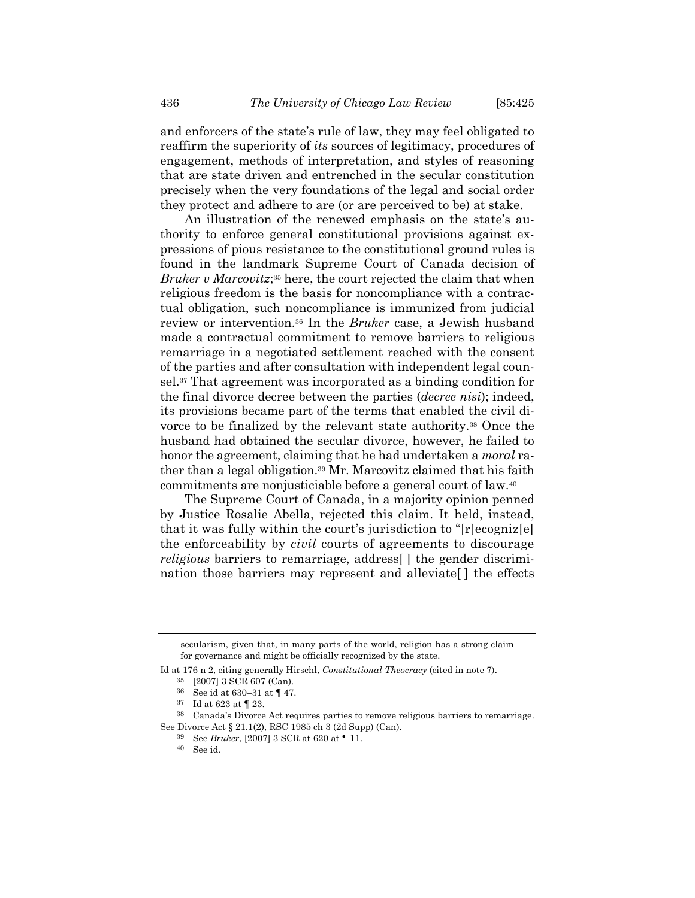and enforcers of the state's rule of law, they may feel obligated to reaffirm the superiority of *its* sources of legitimacy, procedures of engagement, methods of interpretation, and styles of reasoning that are state driven and entrenched in the secular constitution precisely when the very foundations of the legal and social order they protect and adhere to are (or are perceived to be) at stake.

An illustration of the renewed emphasis on the state's authority to enforce general constitutional provisions against expressions of pious resistance to the constitutional ground rules is found in the landmark Supreme Court of Canada decision of *Bruker v Marcovitz*;35 here, the court rejected the claim that when religious freedom is the basis for noncompliance with a contractual obligation, such noncompliance is immunized from judicial review or intervention.36 In the *Bruker* case, a Jewish husband made a contractual commitment to remove barriers to religious remarriage in a negotiated settlement reached with the consent of the parties and after consultation with independent legal counsel.37 That agreement was incorporated as a binding condition for the final divorce decree between the parties (*decree nisi*); indeed, its provisions became part of the terms that enabled the civil divorce to be finalized by the relevant state authority.38 Once the husband had obtained the secular divorce, however, he failed to honor the agreement, claiming that he had undertaken a *moral* rather than a legal obligation.39 Mr. Marcovitz claimed that his faith commitments are nonjusticiable before a general court of law.40

The Supreme Court of Canada, in a majority opinion penned by Justice Rosalie Abella, rejected this claim. It held, instead, that it was fully within the court's jurisdiction to "[r]ecogniz[e] the enforceability by *civil* courts of agreements to discourage *religious* barriers to remarriage, address[ ] the gender discrimination those barriers may represent and alleviate[ ] the effects

secularism, given that, in many parts of the world, religion has a strong claim for governance and might be officially recognized by the state.

Id at 176 n 2, citing generally Hirschl, *Constitutional Theocracy* (cited in note 7). 35 [2007] 3 SCR 607 (Can).

<sup>36</sup> See id at 630–31 at ¶ 47.

<sup>37</sup> Id at 623 at ¶ 23.

<sup>38</sup> Canada's Divorce Act requires parties to remove religious barriers to remarriage.

See Divorce Act § 21.1(2), RSC 1985 ch 3 (2d Supp) (Can).

<sup>39</sup> See *Bruker*, [2007] 3 SCR at 620 at ¶ 11.

<sup>40</sup> See id.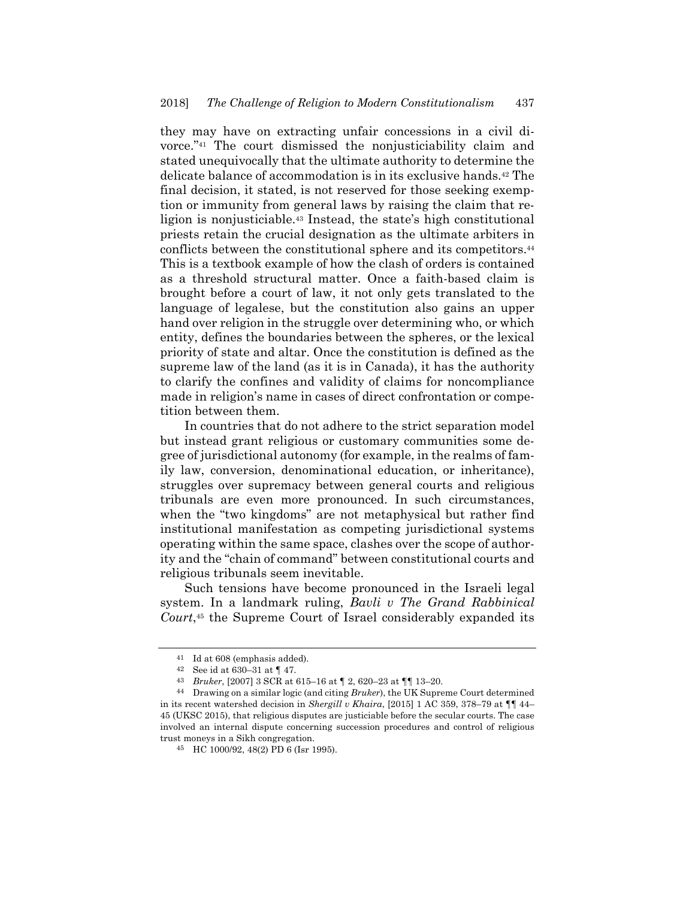they may have on extracting unfair concessions in a civil divorce."41 The court dismissed the nonjusticiability claim and stated unequivocally that the ultimate authority to determine the delicate balance of accommodation is in its exclusive hands.42 The final decision, it stated, is not reserved for those seeking exemption or immunity from general laws by raising the claim that religion is nonjusticiable.43 Instead, the state's high constitutional priests retain the crucial designation as the ultimate arbiters in conflicts between the constitutional sphere and its competitors.44 This is a textbook example of how the clash of orders is contained as a threshold structural matter. Once a faith-based claim is brought before a court of law, it not only gets translated to the language of legalese, but the constitution also gains an upper hand over religion in the struggle over determining who, or which entity, defines the boundaries between the spheres, or the lexical priority of state and altar. Once the constitution is defined as the supreme law of the land (as it is in Canada), it has the authority to clarify the confines and validity of claims for noncompliance made in religion's name in cases of direct confrontation or competition between them.

In countries that do not adhere to the strict separation model but instead grant religious or customary communities some degree of jurisdictional autonomy (for example, in the realms of family law, conversion, denominational education, or inheritance), struggles over supremacy between general courts and religious tribunals are even more pronounced. In such circumstances, when the "two kingdoms" are not metaphysical but rather find institutional manifestation as competing jurisdictional systems operating within the same space, clashes over the scope of authority and the "chain of command" between constitutional courts and religious tribunals seem inevitable.

Such tensions have become pronounced in the Israeli legal system. In a landmark ruling, *Bavli v The Grand Rabbinical Court*,45 the Supreme Court of Israel considerably expanded its

<sup>41</sup> Id at 608 (emphasis added).

<sup>42</sup> See id at 630–31 at ¶ 47.

<sup>43</sup> *Bruker*, [2007] 3 SCR at 615–16 at ¶ 2, 620–23 at ¶¶ 13–20.

<sup>44</sup> Drawing on a similar logic (and citing *Bruker*), the UK Supreme Court determined in its recent watershed decision in *Shergill v Khaira*, [2015] 1 AC 359, 378–79 at ¶¶ 44– 45 (UKSC 2015), that religious disputes are justiciable before the secular courts. The case involved an internal dispute concerning succession procedures and control of religious trust moneys in a Sikh congregation.

<sup>45</sup> HC 1000/92, 48(2) PD 6 (Isr 1995).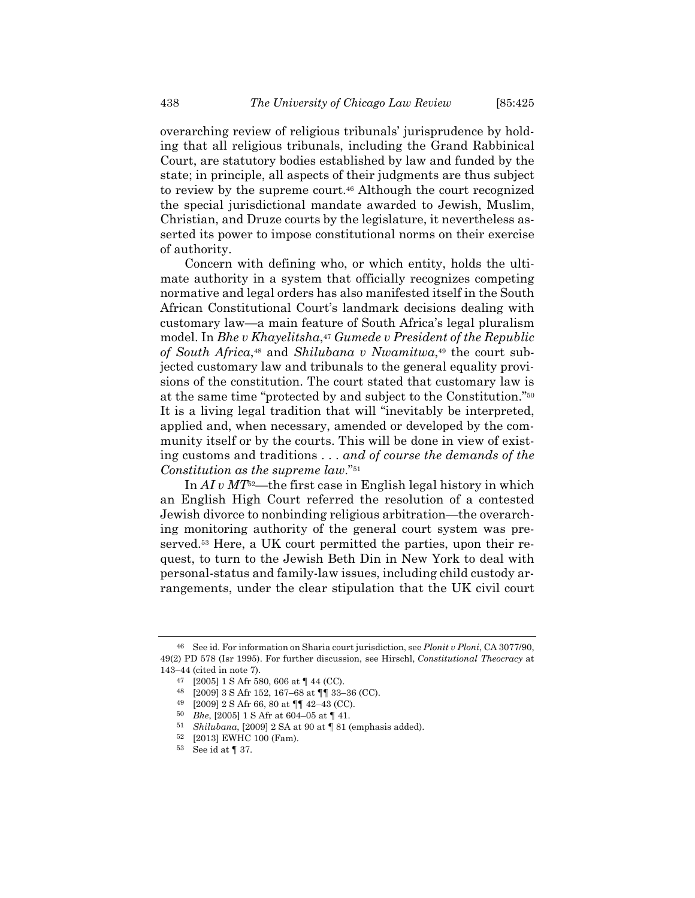overarching review of religious tribunals' jurisprudence by holding that all religious tribunals, including the Grand Rabbinical Court, are statutory bodies established by law and funded by the state; in principle, all aspects of their judgments are thus subject to review by the supreme court.<sup>46</sup> Although the court recognized the special jurisdictional mandate awarded to Jewish, Muslim, Christian, and Druze courts by the legislature, it nevertheless asserted its power to impose constitutional norms on their exercise of authority.

Concern with defining who, or which entity, holds the ultimate authority in a system that officially recognizes competing normative and legal orders has also manifested itself in the South African Constitutional Court's landmark decisions dealing with customary law—a main feature of South Africa's legal pluralism model. In *Bhe v Khayelitsha*,<sup>47</sup> *Gumede v President of the Republic of South Africa*,48 and *Shilubana v Nwamitwa*,49 the court subjected customary law and tribunals to the general equality provisions of the constitution. The court stated that customary law is at the same time "protected by and subject to the Constitution."50 It is a living legal tradition that will "inevitably be interpreted, applied and, when necessary, amended or developed by the community itself or by the courts. This will be done in view of existing customs and traditions . . . *and of course the demands of the Constitution as the supreme law*."51

In *AI v MT*52—the first case in English legal history in which an English High Court referred the resolution of a contested Jewish divorce to nonbinding religious arbitration—the overarching monitoring authority of the general court system was preserved.53 Here, a UK court permitted the parties, upon their request, to turn to the Jewish Beth Din in New York to deal with personal-status and family-law issues, including child custody arrangements, under the clear stipulation that the UK civil court

<sup>46</sup> See id. For information on Sharia court jurisdiction, see *Plonit v Ploni*, CA 3077/90, 49(2) PD 578 (Isr 1995). For further discussion, see Hirschl, *Constitutional Theocracy* at 143–44 (cited in note 7).

<sup>47 [2005] 1</sup> S Afr 580, 606 at ¶ 44 (CC).

<sup>48 [2009] 3</sup> S Afr 152, 167–68 at ¶¶ 33–36 (CC).

<sup>49 [2009] 2</sup> S Afr 66, 80 at ¶¶ 42–43 (CC).

<sup>50</sup> *Bhe*, [2005] 1 S Afr at 604–05 at ¶ 41.

<sup>51</sup> *Shilubana*, [2009] 2 SA at 90 at ¶ 81 (emphasis added).

<sup>52 [2013]</sup> EWHC 100 (Fam).

<sup>53</sup> See id at ¶ 37.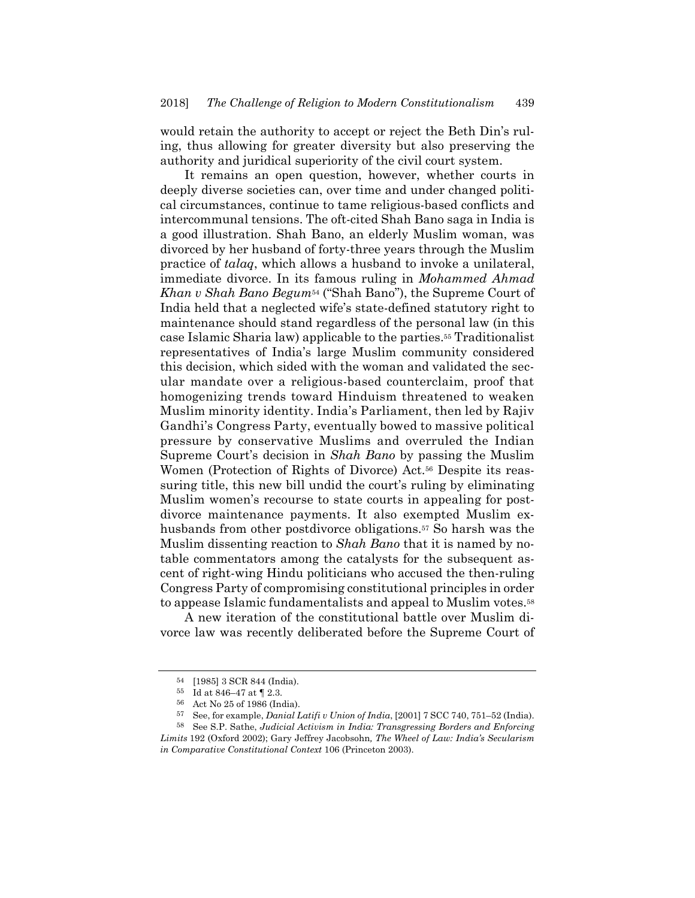would retain the authority to accept or reject the Beth Din's ruling, thus allowing for greater diversity but also preserving the authority and juridical superiority of the civil court system.

It remains an open question, however, whether courts in deeply diverse societies can, over time and under changed political circumstances, continue to tame religious-based conflicts and intercommunal tensions. The oft-cited Shah Bano saga in India is a good illustration. Shah Bano, an elderly Muslim woman, was divorced by her husband of forty-three years through the Muslim practice of *talaq*, which allows a husband to invoke a unilateral, immediate divorce. In its famous ruling in *Mohammed Ahmad Khan v Shah Bano Begum*54 ("Shah Bano"), the Supreme Court of India held that a neglected wife's state-defined statutory right to maintenance should stand regardless of the personal law (in this case Islamic Sharia law) applicable to the parties.55 Traditionalist representatives of India's large Muslim community considered this decision, which sided with the woman and validated the secular mandate over a religious-based counterclaim, proof that homogenizing trends toward Hinduism threatened to weaken Muslim minority identity. India's Parliament, then led by Rajiv Gandhi's Congress Party, eventually bowed to massive political pressure by conservative Muslims and overruled the Indian Supreme Court's decision in *Shah Bano* by passing the Muslim Women (Protection of Rights of Divorce) Act.56 Despite its reassuring title, this new bill undid the court's ruling by eliminating Muslim women's recourse to state courts in appealing for postdivorce maintenance payments. It also exempted Muslim exhusbands from other postdivorce obligations.57 So harsh was the Muslim dissenting reaction to *Shah Bano* that it is named by notable commentators among the catalysts for the subsequent ascent of right-wing Hindu politicians who accused the then-ruling Congress Party of compromising constitutional principles in order to appease Islamic fundamentalists and appeal to Muslim votes.58

A new iteration of the constitutional battle over Muslim divorce law was recently deliberated before the Supreme Court of

<sup>54 [1985] 3</sup> SCR 844 (India).

<sup>55</sup> Id at 846–47 at ¶ 2.3.

<sup>56</sup> Act No 25 of 1986 (India).

<sup>57</sup> See, for example, *Danial Latifi v Union of India*, [2001] 7 SCC 740, 751–52 (India).

<sup>58</sup> See S.P. Sathe, *Judicial Activism in India: Transgressing Borders and Enforcing Limits* 192 (Oxford 2002); Gary Jeffrey Jacobsohn*, The Wheel of Law: India's Secularism in Comparative Constitutional Context* 106 (Princeton 2003).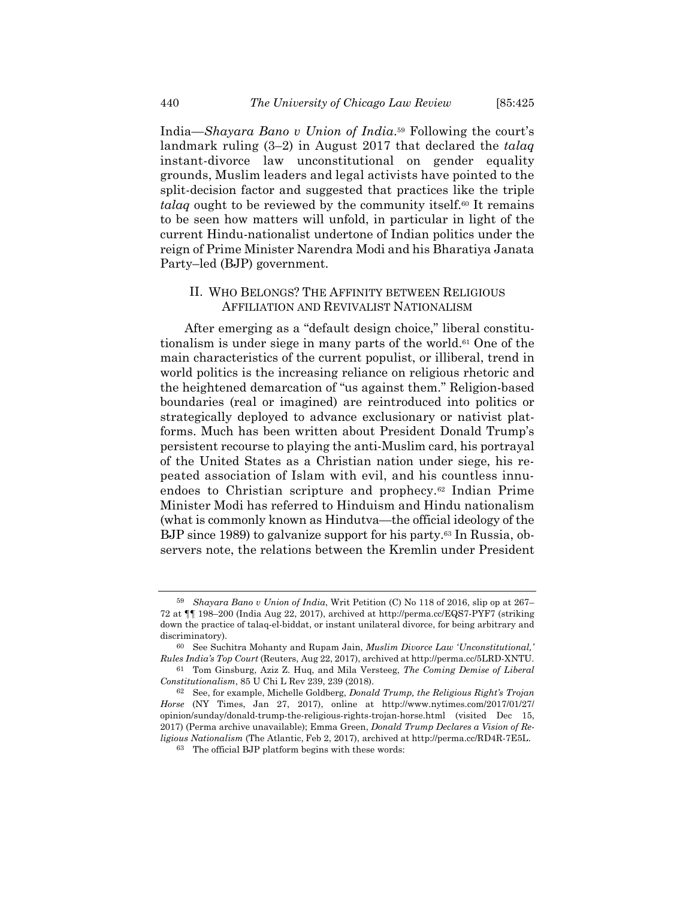India—*Shayara Bano v Union of India*.59 Following the court's landmark ruling (3–2) in August 2017 that declared the *talaq* instant-divorce law unconstitutional on gender equality grounds, Muslim leaders and legal activists have pointed to the split-decision factor and suggested that practices like the triple *talaq* ought to be reviewed by the community itself.<sup>60</sup> It remains to be seen how matters will unfold, in particular in light of the current Hindu-nationalist undertone of Indian politics under the reign of Prime Minister Narendra Modi and his Bharatiya Janata Party–led (BJP) government.

#### II. WHO BELONGS? THE AFFINITY BETWEEN RELIGIOUS AFFILIATION AND REVIVALIST NATIONALISM

After emerging as a "default design choice," liberal constitutionalism is under siege in many parts of the world.61 One of the main characteristics of the current populist, or illiberal, trend in world politics is the increasing reliance on religious rhetoric and the heightened demarcation of "us against them." Religion-based boundaries (real or imagined) are reintroduced into politics or strategically deployed to advance exclusionary or nativist platforms. Much has been written about President Donald Trump's persistent recourse to playing the anti-Muslim card, his portrayal of the United States as a Christian nation under siege, his repeated association of Islam with evil, and his countless innuendoes to Christian scripture and prophecy.62 Indian Prime Minister Modi has referred to Hinduism and Hindu nationalism (what is commonly known as Hindutva—the official ideology of the BJP since 1989) to galvanize support for his party.63 In Russia, observers note, the relations between the Kremlin under President

<sup>59</sup> *Shayara Bano v Union of India*, Writ Petition (C) No 118 of 2016, slip op at 267– 72 at ¶¶ 198–200 (India Aug 22, 2017), archived at http://perma.cc/EQS7-PYF7 (striking down the practice of talaq-el-biddat, or instant unilateral divorce, for being arbitrary and discriminatory).

<sup>60</sup> See Suchitra Mohanty and Rupam Jain, *Muslim Divorce Law 'Unconstitutional,' Rules India's Top Court* (Reuters, Aug 22, 2017), archived at http://perma.cc/5LRD-XNTU.

<sup>61</sup> Tom Ginsburg, Aziz Z. Huq, and Mila Versteeg, *The Coming Demise of Liberal Constitutionalism*, 85 U Chi L Rev 239, 239 (2018).

<sup>62</sup> See, for example, Michelle Goldberg, *Donald Trump, the Religious Right's Trojan Horse* (NY Times, Jan 27, 2017), online at http://www.nytimes.com/2017/01/27/ opinion/sunday/donald-trump-the-religious-rights-trojan-horse.html (visited Dec 15, 2017) (Perma archive unavailable); Emma Green, *Donald Trump Declares a Vision of Religious Nationalism* (The Atlantic, Feb 2, 2017), archived at http://perma.cc/RD4R-7E5L.

<sup>63</sup> The official BJP platform begins with these words: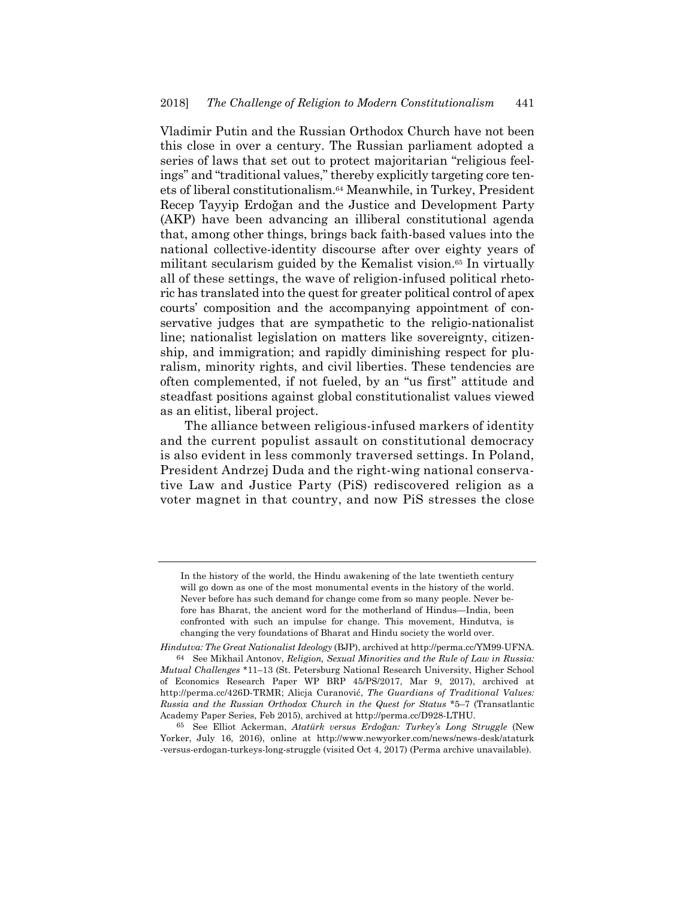Vladimir Putin and the Russian Orthodox Church have not been this close in over a century. The Russian parliament adopted a series of laws that set out to protect majoritarian "religious feelings" and "traditional values," thereby explicitly targeting core tenets of liberal constitutionalism.64 Meanwhile, in Turkey, President Recep Tayyip Erdoğan and the Justice and Development Party (AKP) have been advancing an illiberal constitutional agenda that, among other things, brings back faith-based values into the national collective-identity discourse after over eighty years of militant secularism guided by the Kemalist vision.<sup>65</sup> In virtually all of these settings, the wave of religion-infused political rhetoric has translated into the quest for greater political control of apex courts' composition and the accompanying appointment of conservative judges that are sympathetic to the religio-nationalist line; nationalist legislation on matters like sovereignty, citizenship, and immigration; and rapidly diminishing respect for pluralism, minority rights, and civil liberties. These tendencies are often complemented, if not fueled, by an "us first" attitude and steadfast positions against global constitutionalist values viewed as an elitist, liberal project.

The alliance between religious-infused markers of identity and the current populist assault on constitutional democracy is also evident in less commonly traversed settings. In Poland, President Andrzej Duda and the right-wing national conservative Law and Justice Party (PiS) rediscovered religion as a voter magnet in that country, and now PiS stresses the close

In the history of the world, the Hindu awakening of the late twentieth century will go down as one of the most monumental events in the history of the world. Never before has such demand for change come from so many people. Never before has Bharat, the ancient word for the motherland of Hindus—India, been confronted with such an impulse for change. This movement, Hindutva, is changing the very foundations of Bharat and Hindu society the world over.

*Hindutva: The Great Nationalist Ideology* (BJP), archived at http://perma.cc/YM99-UFNA. 64 See Mikhail Antonov, *Religion, Sexual Minorities and the Rule of Law in Russia: Mutual Challenges* \*11–13 (St. Petersburg National Research University, Higher School of Economics Research Paper WP BRP 45/PS/2017, Mar 9, 2017), archived at http://perma.cc/426D-TRMR; Alicja Curanović, *The Guardians of Traditional Values: Russia and the Russian Orthodox Church in the Quest for Status* \*5–7 (Transatlantic Academy Paper Series, Feb 2015), archived at http://perma.cc/D928-LTHU.

<sup>65</sup> See Elliot Ackerman, *Atatürk versus Erdoğan: Turkey's Long Struggle* (New Yorker, July 16, 2016), online at http://www.newyorker.com/news/news-desk/ataturk -versus-erdogan-turkeys-long-struggle (visited Oct 4, 2017) (Perma archive unavailable).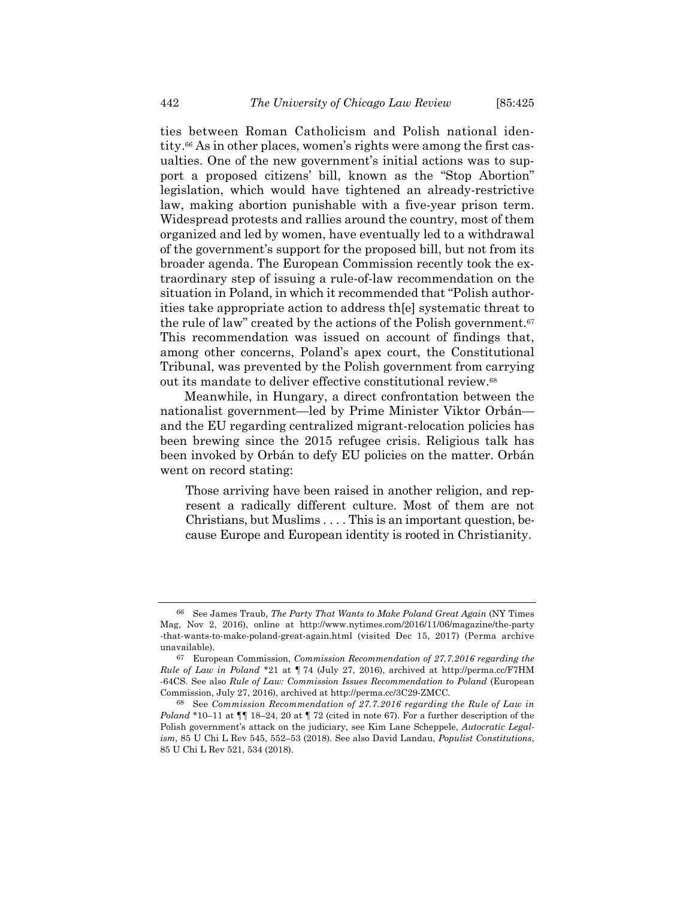ties between Roman Catholicism and Polish national identity.66 As in other places, women's rights were among the first casualties. One of the new government's initial actions was to support a proposed citizens' bill, known as the "Stop Abortion" legislation, which would have tightened an already-restrictive law, making abortion punishable with a five-year prison term. Widespread protests and rallies around the country, most of them organized and led by women, have eventually led to a withdrawal of the government's support for the proposed bill, but not from its broader agenda. The European Commission recently took the extraordinary step of issuing a rule-of-law recommendation on the situation in Poland, in which it recommended that "Polish authorities take appropriate action to address th[e] systematic threat to the rule of law" created by the actions of the Polish government.<sup>67</sup> This recommendation was issued on account of findings that, among other concerns, Poland's apex court, the Constitutional Tribunal, was prevented by the Polish government from carrying out its mandate to deliver effective constitutional review.68

Meanwhile, in Hungary, a direct confrontation between the nationalist government—led by Prime Minister Viktor Orbán and the EU regarding centralized migrant-relocation policies has been brewing since the 2015 refugee crisis. Religious talk has been invoked by Orbán to defy EU policies on the matter. Orbán went on record stating:

Those arriving have been raised in another religion, and represent a radically different culture. Most of them are not Christians, but Muslims . . . . This is an important question, because Europe and European identity is rooted in Christianity.

<sup>66</sup> See James Traub, *The Party That Wants to Make Poland Great Again* (NY Times Mag, Nov 2, 2016), online at http://www.nytimes.com/2016/11/06/magazine/the-party -that-wants-to-make-poland-great-again.html (visited Dec 15, 2017) (Perma archive unavailable).

<sup>67</sup> European Commission, *Commission Recommendation of 27.7.2016 regarding the Rule of Law in Poland* \*21 at ¶ 74 (July 27, 2016), archived at http://perma.cc/F7HM -64CS. See also *Rule of Law: Commission Issues Recommendation to Poland* (European Commission, July 27, 2016), archived at http://perma.cc/3C29-ZMCC.

<sup>68</sup> See *Commission Recommendation of 27.7.2016 regarding the Rule of Law in Poland* \*10–11 at ¶¶ 18–24, 20 at ¶ 72 (cited in note 67). For a further description of the Polish government's attack on the judiciary, see Kim Lane Scheppele, *Autocratic Legalism*, 85 U Chi L Rev 545, 552–53 (2018). See also David Landau, *Populist Constitutions*, 85 U Chi L Rev 521, 534 (2018).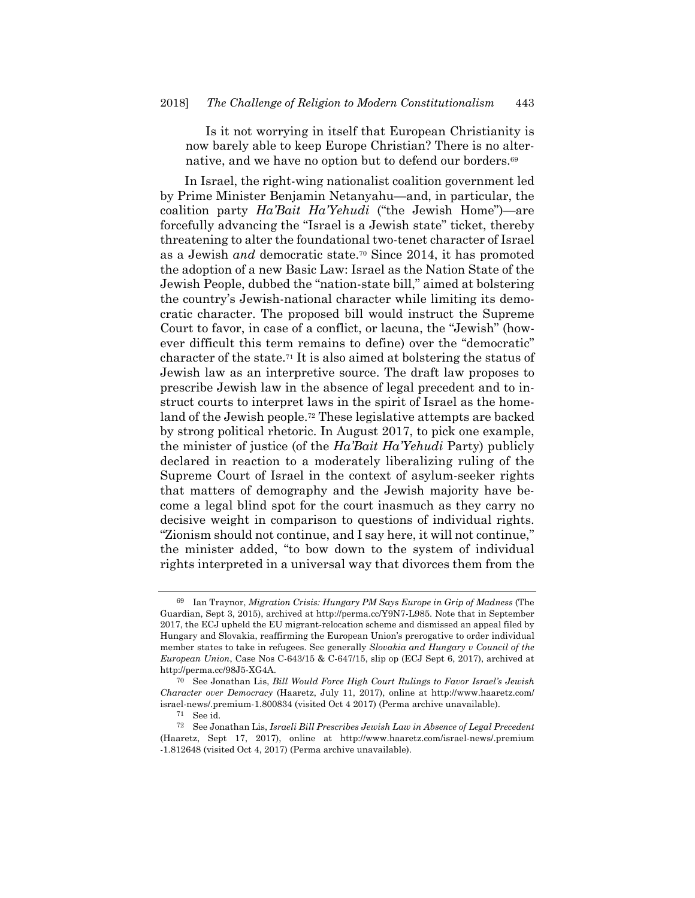Is it not worrying in itself that European Christianity is now barely able to keep Europe Christian? There is no alternative, and we have no option but to defend our borders.<sup>69</sup>

In Israel, the right-wing nationalist coalition government led by Prime Minister Benjamin Netanyahu—and, in particular, the coalition party *Ha'Bait Ha'Yehudi* ("the Jewish Home")—are forcefully advancing the "Israel is a Jewish state" ticket, thereby threatening to alter the foundational two-tenet character of Israel as a Jewish *and* democratic state.70 Since 2014, it has promoted the adoption of a new Basic Law: Israel as the Nation State of the Jewish People, dubbed the "nation-state bill," aimed at bolstering the country's Jewish-national character while limiting its democratic character. The proposed bill would instruct the Supreme Court to favor, in case of a conflict, or lacuna, the "Jewish" (however difficult this term remains to define) over the "democratic" character of the state.71 It is also aimed at bolstering the status of Jewish law as an interpretive source. The draft law proposes to prescribe Jewish law in the absence of legal precedent and to instruct courts to interpret laws in the spirit of Israel as the homeland of the Jewish people.72 These legislative attempts are backed by strong political rhetoric. In August 2017, to pick one example, the minister of justice (of the *Ha'Bait Ha'Yehudi* Party) publicly declared in reaction to a moderately liberalizing ruling of the Supreme Court of Israel in the context of asylum-seeker rights that matters of demography and the Jewish majority have become a legal blind spot for the court inasmuch as they carry no decisive weight in comparison to questions of individual rights. "Zionism should not continue, and I say here, it will not continue," the minister added, "to bow down to the system of individual rights interpreted in a universal way that divorces them from the

<sup>69</sup> Ian Traynor, *Migration Crisis: Hungary PM Says Europe in Grip of Madness* (The Guardian, Sept 3, 2015), archived at http://perma.cc/Y9N7-L985. Note that in September 2017, the ECJ upheld the EU migrant-relocation scheme and dismissed an appeal filed by Hungary and Slovakia, reaffirming the European Union's prerogative to order individual member states to take in refugees. See generally *Slovakia and Hungary v Council of the European Union*, Case Nos C-643/15 & C-647/15, slip op (ECJ Sept 6, 2017), archived at http://perma.cc/98J5-XG4A.

<sup>70</sup> See Jonathan Lis, *Bill Would Force High Court Rulings to Favor Israel's Jewish Character over Democracy* (Haaretz, July 11, 2017), online at http://www.haaretz.com/ israel-news/.premium-1.800834 (visited Oct 4 2017) (Perma archive unavailable).

<sup>71</sup> See id.

<sup>72</sup> See Jonathan Lis, *Israeli Bill Prescribes Jewish Law in Absence of Legal Precedent* (Haaretz, Sept 17, 2017), online at http://www.haaretz.com/israel-news/.premium -1.812648 (visited Oct 4, 2017) (Perma archive unavailable).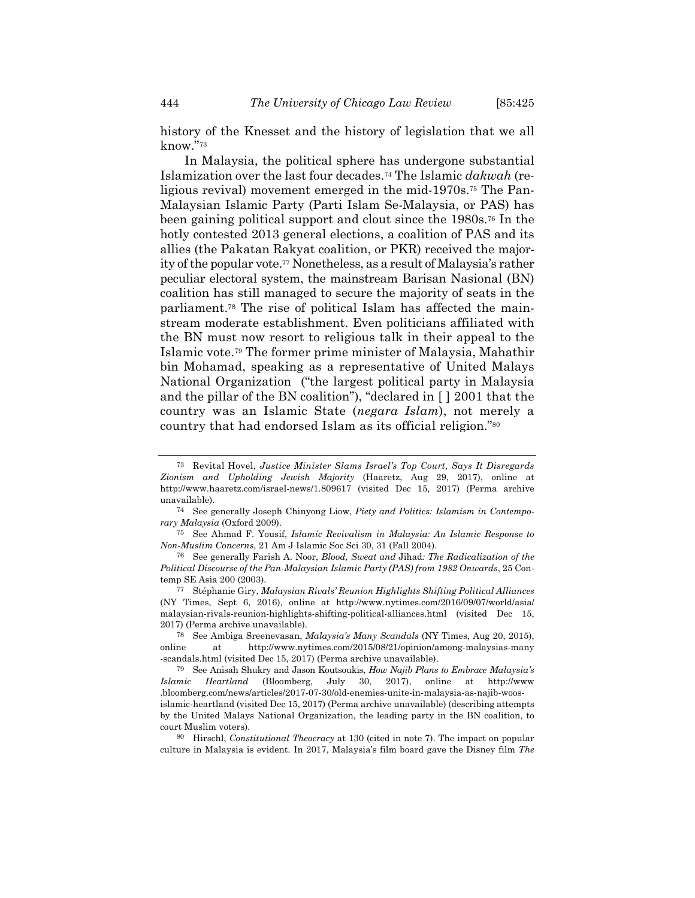history of the Knesset and the history of legislation that we all know."73

In Malaysia, the political sphere has undergone substantial Islamization over the last four decades.74 The Islamic *dakwah* (religious revival) movement emerged in the mid-1970s.75 The Pan-Malaysian Islamic Party (Parti Islam Se-Malaysia, or PAS) has been gaining political support and clout since the 1980s.76 In the hotly contested 2013 general elections, a coalition of PAS and its allies (the Pakatan Rakyat coalition, or PKR) received the majority of the popular vote.77 Nonetheless, as a result of Malaysia's rather peculiar electoral system, the mainstream Barisan Nasional (BN) coalition has still managed to secure the majority of seats in the parliament.78 The rise of political Islam has affected the mainstream moderate establishment. Even politicians affiliated with the BN must now resort to religious talk in their appeal to the Islamic vote.79 The former prime minister of Malaysia, Mahathir bin Mohamad, speaking as a representative of United Malays National Organization ("the largest political party in Malaysia and the pillar of the BN coalition"), "declared in [ ] 2001 that the country was an Islamic State (*negara Islam*), not merely a country that had endorsed Islam as its official religion."80

77 Stéphanie Giry, *Malaysian Rivals' Reunion Highlights Shifting Political Alliances* (NY Times, Sept 6, 2016), online at http://www.nytimes.com/2016/09/07/world/asia/ malaysian-rivals-reunion-highlights-shifting-political-alliances.html (visited Dec 15, 2017) (Perma archive unavailable).

78 See Ambiga Sreenevasan, *Malaysia's Many Scandals* (NY Times, Aug 20, 2015), online at http://www.nytimes.com/2015/08/21/opinion/among-malaysias-many -scandals.html (visited Dec 15, 2017) (Perma archive unavailable).

79 See Anisah Shukry and Jason Koutsoukis, *How Najib Plans to Embrace Malaysia's Islamic Heartland* (Bloomberg, July 30, 2017), online at http://www .bloomberg.com/news/articles/2017-07-30/old-enemies-unite-in-malaysia-as-najib-woosislamic-heartland (visited Dec 15, 2017) (Perma archive unavailable) (describing attempts

80 Hirschl, *Constitutional Theocracy* at 130 (cited in note 7). The impact on popular culture in Malaysia is evident. In 2017, Malaysia's film board gave the Disney film *The* 

<sup>73</sup> Revital Hovel, *Justice Minister Slams Israel's Top Court, Says It Disregards Zionism and Upholding Jewish Majority* (Haaretz, Aug 29, 2017), online at http://www.haaretz.com/israel-news/1.809617 (visited Dec 15, 2017) (Perma archive unavailable).

<sup>74</sup> See generally Joseph Chinyong Liow, *Piety and Politics: Islamism in Contemporary Malaysia* (Oxford 2009).

<sup>75</sup> See Ahmad F. Yousif, *Islamic Revivalism in Malaysia: An Islamic Response to Non-Muslim Concerns*, 21 Am J Islamic Soc Sci 30, 31 (Fall 2004).

<sup>76</sup> See generally Farish A. Noor, *Blood, Sweat and* Jihad*: The Radicalization of the Political Discourse of the Pan-Malaysian Islamic Party (PAS) from 1982 Onwards*, 25 Contemp SE Asia 200 (2003).

by the United Malays National Organization, the leading party in the BN coalition, to court Muslim voters).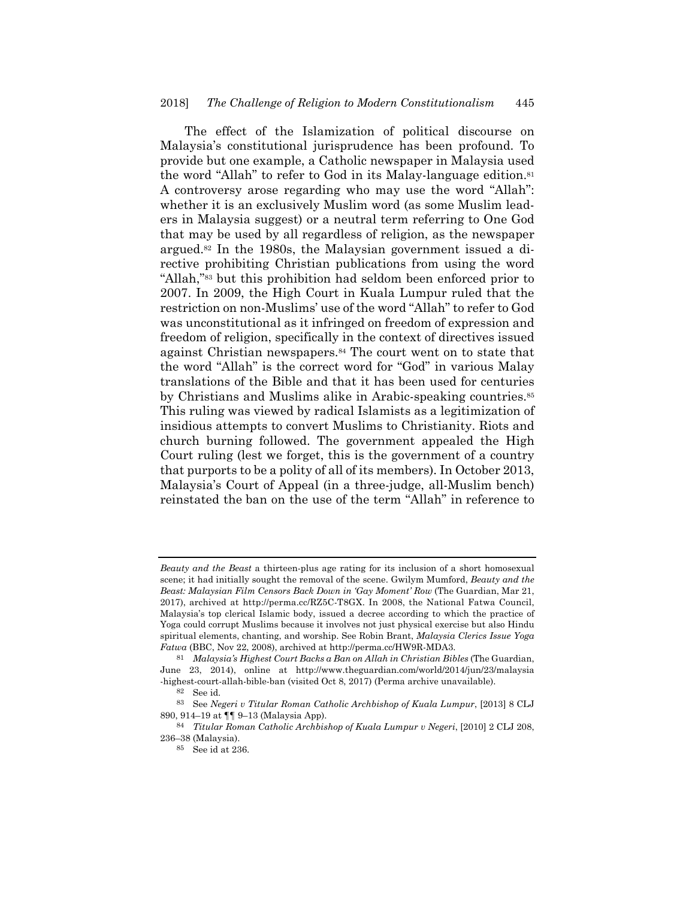The effect of the Islamization of political discourse on Malaysia's constitutional jurisprudence has been profound. To provide but one example, a Catholic newspaper in Malaysia used the word "Allah" to refer to God in its Malay-language edition.81 A controversy arose regarding who may use the word "Allah": whether it is an exclusively Muslim word (as some Muslim leaders in Malaysia suggest) or a neutral term referring to One God that may be used by all regardless of religion, as the newspaper argued.82 In the 1980s, the Malaysian government issued a directive prohibiting Christian publications from using the word "Allah,"83 but this prohibition had seldom been enforced prior to 2007. In 2009, the High Court in Kuala Lumpur ruled that the restriction on non-Muslims' use of the word "Allah" to refer to God was unconstitutional as it infringed on freedom of expression and freedom of religion, specifically in the context of directives issued against Christian newspapers.84 The court went on to state that the word "Allah" is the correct word for "God" in various Malay translations of the Bible and that it has been used for centuries by Christians and Muslims alike in Arabic-speaking countries.<sup>85</sup> This ruling was viewed by radical Islamists as a legitimization of insidious attempts to convert Muslims to Christianity. Riots and church burning followed. The government appealed the High Court ruling (lest we forget, this is the government of a country that purports to be a polity of all of its members). In October 2013, Malaysia's Court of Appeal (in a three-judge, all-Muslim bench) reinstated the ban on the use of the term "Allah" in reference to

*Beauty and the Beast* a thirteen-plus age rating for its inclusion of a short homosexual scene; it had initially sought the removal of the scene. Gwilym Mumford, *Beauty and the Beast: Malaysian Film Censors Back Down in 'Gay Moment' Row* (The Guardian, Mar 21, 2017), archived at http://perma.cc/RZ5C-T8GX. In 2008, the National Fatwa Council, Malaysia's top clerical Islamic body, issued a decree according to which the practice of Yoga could corrupt Muslims because it involves not just physical exercise but also Hindu spiritual elements, chanting, and worship. See Robin Brant, *Malaysia Clerics Issue Yoga Fatwa* (BBC, Nov 22, 2008), archived at http://perma.cc/HW9R-MDA3.

<sup>81</sup> *Malaysia's Highest Court Backs a Ban on Allah in Christian Bibles* (The Guardian, June 23, 2014), online at http://www.theguardian.com/world/2014/jun/23/malaysia -highest-court-allah-bible-ban (visited Oct 8, 2017) (Perma archive unavailable).

<sup>82</sup> See id.

<sup>83</sup> See *Negeri v Titular Roman Catholic Archbishop of Kuala Lumpur*, [2013] 8 CLJ 890, 914–19 at ¶¶ 9–13 (Malaysia App).

<sup>84</sup> *Titular Roman Catholic Archbishop of Kuala Lumpur v Negeri*, [2010] 2 CLJ 208, 236–38 (Malaysia).

<sup>85</sup> See id at 236.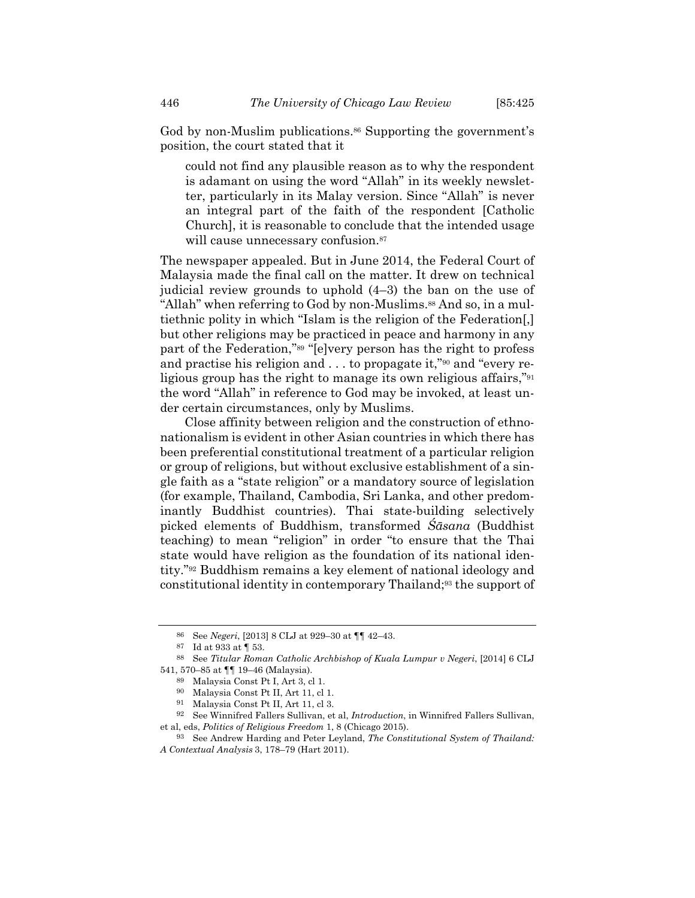God by non-Muslim publications.<sup>86</sup> Supporting the government's position, the court stated that it

could not find any plausible reason as to why the respondent is adamant on using the word "Allah" in its weekly newsletter, particularly in its Malay version. Since "Allah" is never an integral part of the faith of the respondent [Catholic Church], it is reasonable to conclude that the intended usage will cause unnecessary confusion.<sup>87</sup>

The newspaper appealed. But in June 2014, the Federal Court of Malaysia made the final call on the matter. It drew on technical judicial review grounds to uphold (4–3) the ban on the use of "Allah" when referring to God by non-Muslims.<sup>88</sup> And so, in a multiethnic polity in which "Islam is the religion of the Federation[,] but other religions may be practiced in peace and harmony in any part of the Federation,"89 "[e]very person has the right to profess and practise his religion and  $\dots$  to propagate it,"<sup>90</sup> and "every religious group has the right to manage its own religious affairs,"91 the word "Allah" in reference to God may be invoked, at least under certain circumstances, only by Muslims.

Close affinity between religion and the construction of ethnonationalism is evident in other Asian countries in which there has been preferential constitutional treatment of a particular religion or group of religions, but without exclusive establishment of a single faith as a "state religion" or a mandatory source of legislation (for example, Thailand, Cambodia, Sri Lanka, and other predominantly Buddhist countries). Thai state-building selectively picked elements of Buddhism, transformed *Śāsana* (Buddhist teaching) to mean "religion" in order "to ensure that the Thai state would have religion as the foundation of its national identity."92 Buddhism remains a key element of national ideology and constitutional identity in contemporary Thailand;93 the support of

<sup>86</sup> See *Negeri*, [2013] 8 CLJ at 929–30 at ¶¶ 42–43.

<sup>87</sup> Id at 933 at ¶ 53.

<sup>88</sup> See *Titular Roman Catholic Archbishop of Kuala Lumpur v Negeri*, [2014] 6 CLJ 541, 570–85 at ¶¶ 19–46 (Malaysia).

<sup>89</sup> Malaysia Const Pt I, Art 3, cl 1.

<sup>90</sup> Malaysia Const Pt II, Art 11, cl 1.

<sup>91</sup> Malaysia Const Pt II, Art 11, cl 3.

<sup>92</sup> See Winnifred Fallers Sullivan, et al, *Introduction*, in Winnifred Fallers Sullivan, et al, eds, *Politics of Religious Freedom* 1, 8 (Chicago 2015).

<sup>93</sup> See Andrew Harding and Peter Leyland, *The Constitutional System of Thailand: A Contextual Analysis* 3, 178–79 (Hart 2011).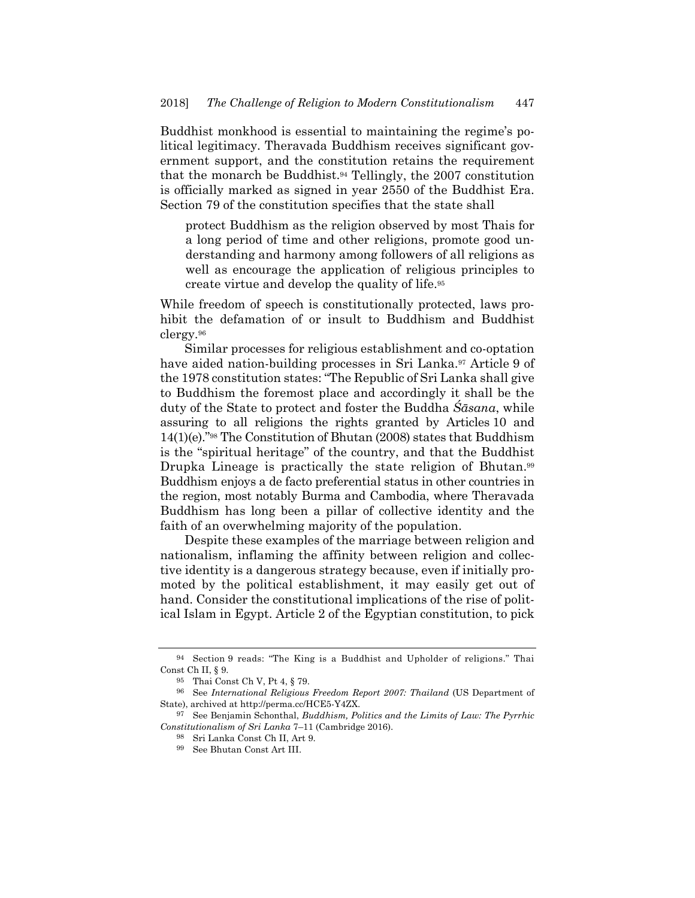Buddhist monkhood is essential to maintaining the regime's political legitimacy. Theravada Buddhism receives significant government support, and the constitution retains the requirement that the monarch be Buddhist.94 Tellingly, the 2007 constitution is officially marked as signed in year 2550 of the Buddhist Era. Section 79 of the constitution specifies that the state shall

protect Buddhism as the religion observed by most Thais for a long period of time and other religions, promote good understanding and harmony among followers of all religions as well as encourage the application of religious principles to create virtue and develop the quality of life.95

While freedom of speech is constitutionally protected, laws prohibit the defamation of or insult to Buddhism and Buddhist clergy.96

Similar processes for religious establishment and co-optation have aided nation-building processes in Sri Lanka.<sup>97</sup> Article 9 of the 1978 constitution states: "The Republic of Sri Lanka shall give to Buddhism the foremost place and accordingly it shall be the duty of the State to protect and foster the Buddha *Śāsana*, while assuring to all religions the rights granted by Articles 10 and 14(1)(e)."98 The Constitution of Bhutan (2008) states that Buddhism is the "spiritual heritage" of the country, and that the Buddhist Drupka Lineage is practically the state religion of Bhutan.<sup>99</sup> Buddhism enjoys a de facto preferential status in other countries in the region, most notably Burma and Cambodia, where Theravada Buddhism has long been a pillar of collective identity and the faith of an overwhelming majority of the population.

Despite these examples of the marriage between religion and nationalism, inflaming the affinity between religion and collective identity is a dangerous strategy because, even if initially promoted by the political establishment, it may easily get out of hand. Consider the constitutional implications of the rise of political Islam in Egypt. Article 2 of the Egyptian constitution, to pick

<sup>94</sup> Section 9 reads: "The King is a Buddhist and Upholder of religions." Thai Const Ch II, § 9.

<sup>95</sup> Thai Const Ch V, Pt 4, § 79.

<sup>96</sup> See *International Religious Freedom Report 2007: Thailand* (US Department of State), archived at http://perma.cc/HCE5-Y4ZX.

<sup>97</sup> See Benjamin Schonthal, *Buddhism, Politics and the Limits of Law: The Pyrrhic Constitutionalism of Sri Lanka* 7–11 (Cambridge 2016).

<sup>98</sup> Sri Lanka Const Ch II, Art 9.

<sup>99</sup> See Bhutan Const Art III.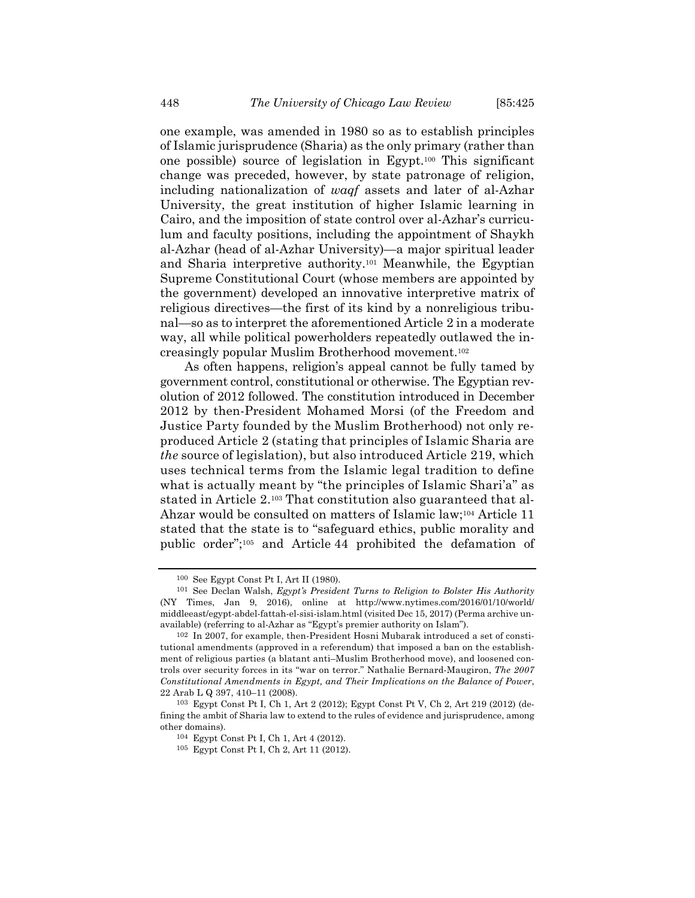one example, was amended in 1980 so as to establish principles of Islamic jurisprudence (Sharia) as the only primary (rather than one possible) source of legislation in Egypt.100 This significant change was preceded, however, by state patronage of religion, including nationalization of *waqf* assets and later of al-Azhar University, the great institution of higher Islamic learning in Cairo, and the imposition of state control over al-Azhar's curriculum and faculty positions, including the appointment of Shaykh al-Azhar (head of al-Azhar University)—a major spiritual leader and Sharia interpretive authority.101 Meanwhile, the Egyptian Supreme Constitutional Court (whose members are appointed by the government) developed an innovative interpretive matrix of religious directives—the first of its kind by a nonreligious tribunal—so as to interpret the aforementioned Article 2 in a moderate way, all while political powerholders repeatedly outlawed the increasingly popular Muslim Brotherhood movement.102

As often happens, religion's appeal cannot be fully tamed by government control, constitutional or otherwise. The Egyptian revolution of 2012 followed. The constitution introduced in December 2012 by then-President Mohamed Morsi (of the Freedom and Justice Party founded by the Muslim Brotherhood) not only reproduced Article 2 (stating that principles of Islamic Sharia are *the* source of legislation), but also introduced Article 219, which uses technical terms from the Islamic legal tradition to define what is actually meant by "the principles of Islamic Shari'a" as stated in Article 2.103 That constitution also guaranteed that al-Ahzar would be consulted on matters of Islamic law;104 Article 11 stated that the state is to "safeguard ethics, public morality and public order";105 and Article 44 prohibited the defamation of

<sup>&</sup>lt;sup>100</sup> See Egypt Const Pt I, Art II (1980).<br><sup>101</sup> See Declan Walsh, *Egypt's President Turns to Religion to Bolster His Authority* (NY Times, Jan 9, 2016), online at http://www.nytimes.com/2016/01/10/world/ middleeast/egypt-abdel-fattah-el-sisi-islam.html (visited Dec 15, 2017) (Perma archive unavailable) (referring to al-Azhar as "Egypt's premier authority on Islam").

<sup>102</sup> In 2007, for example, then-President Hosni Mubarak introduced a set of constitutional amendments (approved in a referendum) that imposed a ban on the establishment of religious parties (a blatant anti–Muslim Brotherhood move), and loosened controls over security forces in its "war on terror." Nathalie Bernard-Maugiron, *The 2007 Constitutional Amendments in Egypt, and Their Implications on the Balance of Power*, 22 Arab L Q 397, 410–11 (2008).

<sup>103</sup> Egypt Const Pt I, Ch 1, Art 2 (2012); Egypt Const Pt V, Ch 2, Art 219 (2012) (defining the ambit of Sharia law to extend to the rules of evidence and jurisprudence, among other domains).

<sup>104</sup> Egypt Const Pt I, Ch 1, Art 4 (2012).

<sup>105</sup> Egypt Const Pt I, Ch 2, Art 11 (2012).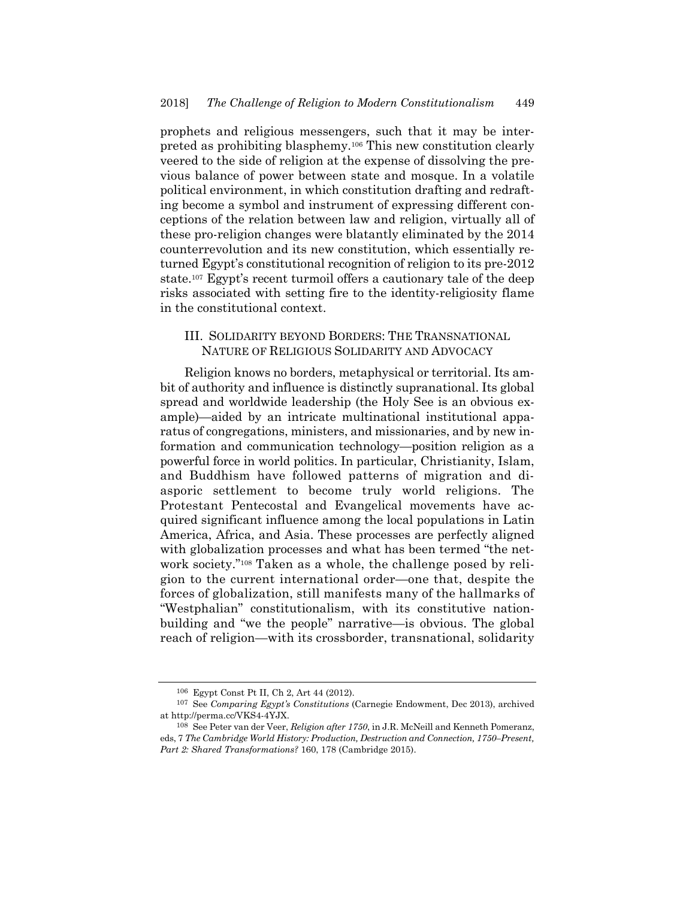prophets and religious messengers, such that it may be interpreted as prohibiting blasphemy.106 This new constitution clearly veered to the side of religion at the expense of dissolving the previous balance of power between state and mosque. In a volatile political environment, in which constitution drafting and redrafting become a symbol and instrument of expressing different conceptions of the relation between law and religion, virtually all of these pro-religion changes were blatantly eliminated by the 2014 counterrevolution and its new constitution, which essentially returned Egypt's constitutional recognition of religion to its pre-2012 state.107 Egypt's recent turmoil offers a cautionary tale of the deep risks associated with setting fire to the identity-religiosity flame in the constitutional context.

## III. SOLIDARITY BEYOND BORDERS: THE TRANSNATIONAL NATURE OF RELIGIOUS SOLIDARITY AND ADVOCACY

Religion knows no borders, metaphysical or territorial. Its ambit of authority and influence is distinctly supranational. Its global spread and worldwide leadership (the Holy See is an obvious example)—aided by an intricate multinational institutional apparatus of congregations, ministers, and missionaries, and by new information and communication technology—position religion as a powerful force in world politics. In particular, Christianity, Islam, and Buddhism have followed patterns of migration and diasporic settlement to become truly world religions. The Protestant Pentecostal and Evangelical movements have acquired significant influence among the local populations in Latin America, Africa, and Asia. These processes are perfectly aligned with globalization processes and what has been termed "the network society."108 Taken as a whole, the challenge posed by religion to the current international order—one that, despite the forces of globalization, still manifests many of the hallmarks of "Westphalian" constitutionalism, with its constitutive nationbuilding and "we the people" narrative—is obvious. The global reach of religion—with its crossborder, transnational, solidarity

<sup>106</sup> Egypt Const Pt II, Ch 2, Art 44 (2012).

<sup>107</sup> See *Comparing Egypt's Constitutions* (Carnegie Endowment, Dec 2013), archived at http://perma.cc/VKS4-4YJX.

<sup>108</sup> See Peter van der Veer, *Religion after 1750*, in J.R. McNeill and Kenneth Pomeranz, eds, 7 *The Cambridge World History: Production, Destruction and Connection, 1750–Present, Part 2: Shared Transformations?* 160, 178 (Cambridge 2015).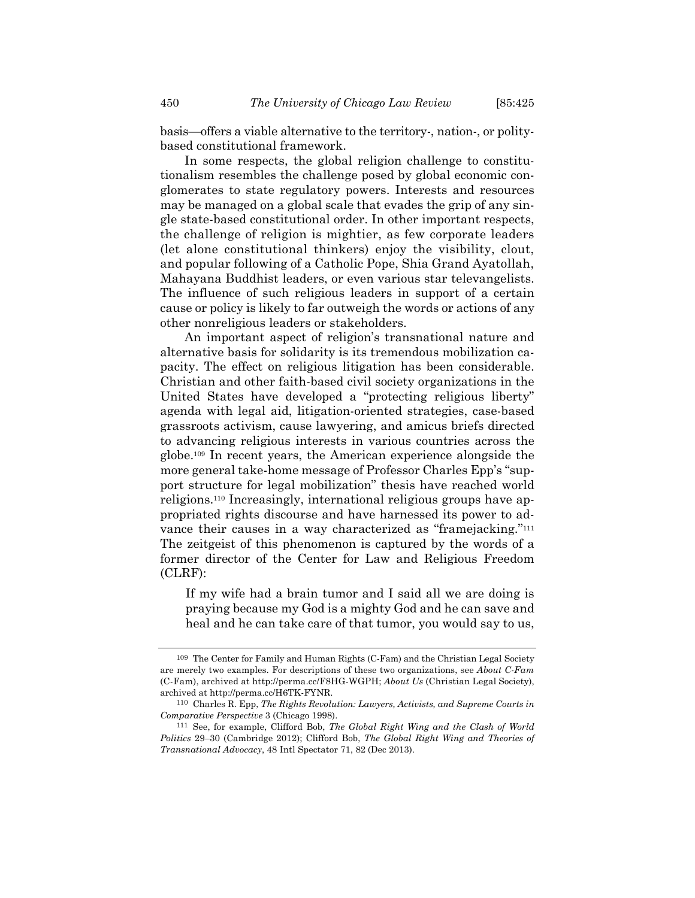basis—offers a viable alternative to the territory-, nation-, or politybased constitutional framework.

In some respects, the global religion challenge to constitutionalism resembles the challenge posed by global economic conglomerates to state regulatory powers. Interests and resources may be managed on a global scale that evades the grip of any single state-based constitutional order. In other important respects, the challenge of religion is mightier, as few corporate leaders (let alone constitutional thinkers) enjoy the visibility, clout, and popular following of a Catholic Pope, Shia Grand Ayatollah, Mahayana Buddhist leaders, or even various star televangelists. The influence of such religious leaders in support of a certain cause or policy is likely to far outweigh the words or actions of any other nonreligious leaders or stakeholders.

An important aspect of religion's transnational nature and alternative basis for solidarity is its tremendous mobilization capacity. The effect on religious litigation has been considerable. Christian and other faith-based civil society organizations in the United States have developed a "protecting religious liberty" agenda with legal aid, litigation-oriented strategies, case-based grassroots activism, cause lawyering, and amicus briefs directed to advancing religious interests in various countries across the globe.109 In recent years, the American experience alongside the more general take-home message of Professor Charles Epp's "support structure for legal mobilization" thesis have reached world religions.110 Increasingly, international religious groups have appropriated rights discourse and have harnessed its power to advance their causes in a way characterized as "framejacking."111 The zeitgeist of this phenomenon is captured by the words of a former director of the Center for Law and Religious Freedom (CLRF):

If my wife had a brain tumor and I said all we are doing is praying because my God is a mighty God and he can save and heal and he can take care of that tumor, you would say to us,

<sup>109</sup> The Center for Family and Human Rights (C-Fam) and the Christian Legal Society are merely two examples. For descriptions of these two organizations, see *About C-Fam* (C-Fam), archived at http://perma.cc/F8HG-WGPH; *About Us* (Christian Legal Society), archived at http://perma.cc/H6TK-FYNR.

<sup>110</sup> Charles R. Epp, *The Rights Revolution: Lawyers, Activists, and Supreme Courts in Comparative Perspective* 3 (Chicago 1998).

<sup>111</sup> See, for example, Clifford Bob, *The Global Right Wing and the Clash of World Politics* 29–30 (Cambridge 2012); Clifford Bob, *The Global Right Wing and Theories of Transnational Advocacy*, 48 Intl Spectator 71, 82 (Dec 2013).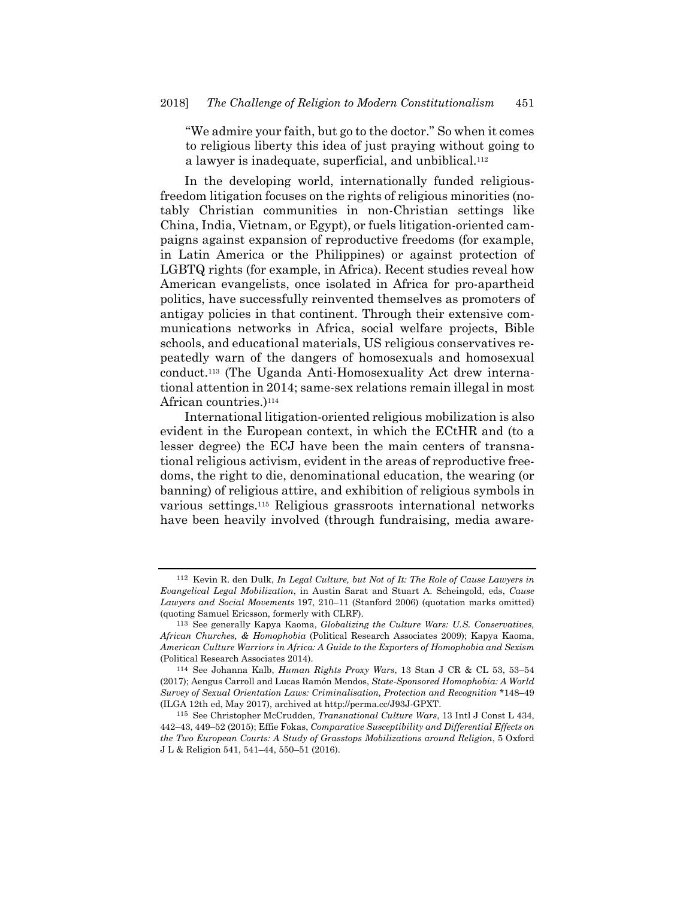"We admire your faith, but go to the doctor." So when it comes to religious liberty this idea of just praying without going to a lawyer is inadequate, superficial, and unbiblical.112

In the developing world, internationally funded religiousfreedom litigation focuses on the rights of religious minorities (notably Christian communities in non-Christian settings like China, India, Vietnam, or Egypt), or fuels litigation-oriented campaigns against expansion of reproductive freedoms (for example, in Latin America or the Philippines) or against protection of LGBTQ rights (for example, in Africa). Recent studies reveal how American evangelists, once isolated in Africa for pro-apartheid politics, have successfully reinvented themselves as promoters of antigay policies in that continent. Through their extensive communications networks in Africa, social welfare projects, Bible schools, and educational materials, US religious conservatives repeatedly warn of the dangers of homosexuals and homosexual conduct.113 (The Uganda Anti-Homosexuality Act drew international attention in 2014; same-sex relations remain illegal in most African countries.)<sup>114</sup>

International litigation-oriented religious mobilization is also evident in the European context, in which the ECtHR and (to a lesser degree) the ECJ have been the main centers of transnational religious activism, evident in the areas of reproductive freedoms, the right to die, denominational education, the wearing (or banning) of religious attire, and exhibition of religious symbols in various settings.115 Religious grassroots international networks have been heavily involved (through fundraising, media aware-

<sup>112</sup> Kevin R. den Dulk, *In Legal Culture, but Not of It: The Role of Cause Lawyers in Evangelical Legal Mobilization*, in Austin Sarat and Stuart A. Scheingold, eds, *Cause Lawyers and Social Movements* 197, 210–11 (Stanford 2006) (quotation marks omitted) (quoting Samuel Ericsson, formerly with CLRF).

<sup>113</sup> See generally Kapya Kaoma, *Globalizing the Culture Wars: U.S. Conservatives, African Churches, & Homophobia* (Political Research Associates 2009); Kapya Kaoma, *American Culture Warriors in Africa: A Guide to the Exporters of Homophobia and Sexism* (Political Research Associates 2014).

<sup>114</sup> See Johanna Kalb, *Human Rights Proxy Wars*, 13 Stan J CR & CL 53, 53–54 (2017); Aengus Carroll and Lucas Ramón Mendos, *State-Sponsored Homophobia: A World Survey of Sexual Orientation Laws: Criminalisation, Protection and Recognition* \*148–49 (ILGA 12th ed, May 2017), archived at http://perma.cc/J93J-GPXT.

<sup>115</sup> See Christopher McCrudden, *Transnational Culture Wars*, 13 Intl J Const L 434, 442–43, 449–52 (2015); Effie Fokas, *Comparative Susceptibility and Differential Effects on the Two European Courts: A Study of Grasstops Mobilizations around Religion*, 5 Oxford J L & Religion 541, 541–44, 550–51 (2016).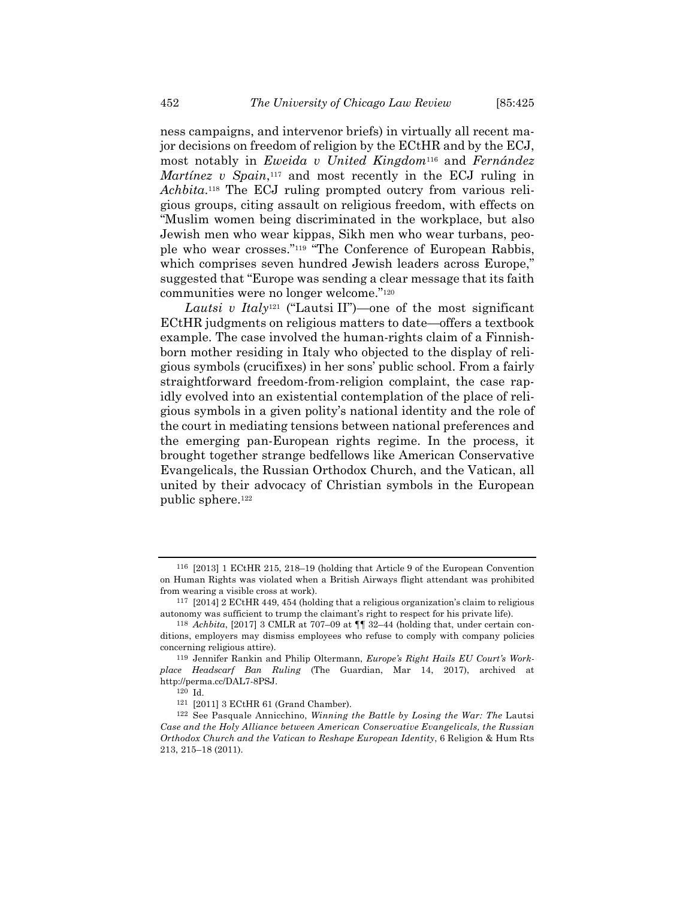ness campaigns, and intervenor briefs) in virtually all recent major decisions on freedom of religion by the ECtHR and by the ECJ, most notably in *Eweida v United Kingdom*116 and *Fernández Martínez v Spain*,<sup>117</sup> and most recently in the ECJ ruling in *Achbita*.118 The ECJ ruling prompted outcry from various religious groups, citing assault on religious freedom, with effects on "Muslim women being discriminated in the workplace, but also Jewish men who wear kippas, Sikh men who wear turbans, people who wear crosses."119 "The Conference of European Rabbis, which comprises seven hundred Jewish leaders across Europe," suggested that "Europe was sending a clear message that its faith communities were no longer welcome."120

*Lautsi v Italy*121 ("Lautsi II")—one of the most significant ECtHR judgments on religious matters to date—offers a textbook example. The case involved the human-rights claim of a Finnishborn mother residing in Italy who objected to the display of religious symbols (crucifixes) in her sons' public school. From a fairly straightforward freedom-from-religion complaint, the case rapidly evolved into an existential contemplation of the place of religious symbols in a given polity's national identity and the role of the court in mediating tensions between national preferences and the emerging pan-European rights regime. In the process, it brought together strange bedfellows like American Conservative Evangelicals, the Russian Orthodox Church, and the Vatican, all united by their advocacy of Christian symbols in the European public sphere.122

<sup>116 [2013] 1</sup> ECtHR 215, 218–19 (holding that Article 9 of the European Convention on Human Rights was violated when a British Airways flight attendant was prohibited from wearing a visible cross at work).

<sup>117 [2014] 2</sup> ECtHR 449, 454 (holding that a religious organization's claim to religious autonomy was sufficient to trump the claimant's right to respect for his private life).

<sup>118</sup> *Achbita*, [2017] 3 CMLR at 707–09 at ¶¶ 32–44 (holding that, under certain conditions, employers may dismiss employees who refuse to comply with company policies concerning religious attire).

<sup>119</sup> Jennifer Rankin and Philip Oltermann, *Europe's Right Hails EU Court's Workplace Headscarf Ban Ruling* (The Guardian, Mar 14, 2017), archived at http://perma.cc/DAL7-8PSJ.

<sup>120</sup> Id.

<sup>121 [2011] 3</sup> ECtHR 61 (Grand Chamber).

<sup>122</sup> See Pasquale Annicchino, *Winning the Battle by Losing the War: The* Lautsi *Case and the Holy Alliance between American Conservative Evangelicals, the Russian Orthodox Church and the Vatican to Reshape European Identity*, 6 Religion & Hum Rts 213, 215–18 (2011).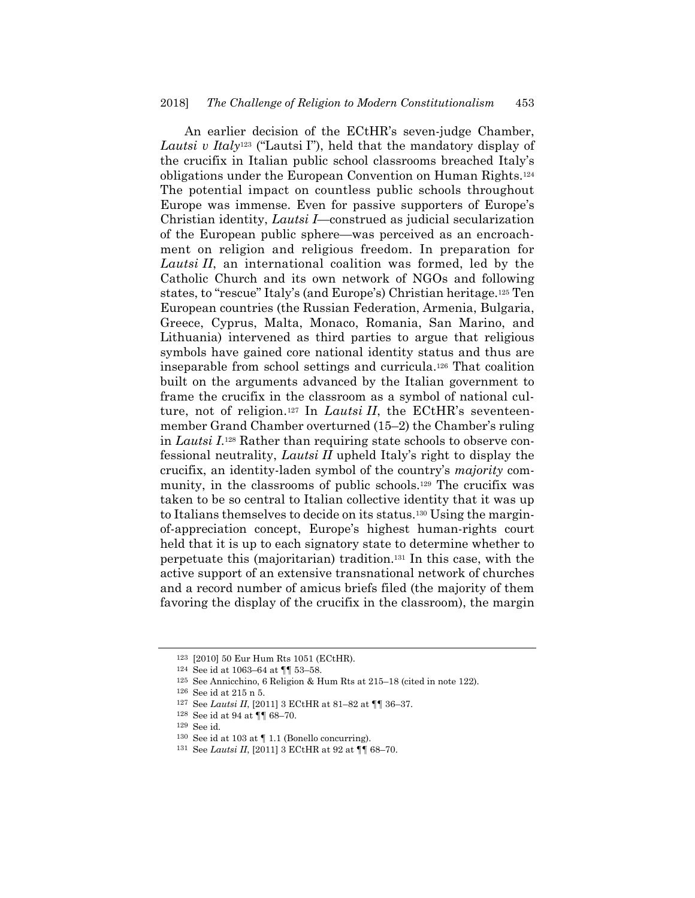An earlier decision of the ECtHR's seven-judge Chamber, *Lautsi v Italy*123 ("Lautsi I"), held that the mandatory display of the crucifix in Italian public school classrooms breached Italy's obligations under the European Convention on Human Rights.124 The potential impact on countless public schools throughout Europe was immense. Even for passive supporters of Europe's Christian identity, *Lautsi I*—construed as judicial secularization of the European public sphere—was perceived as an encroachment on religion and religious freedom. In preparation for *Lautsi II*, an international coalition was formed, led by the Catholic Church and its own network of NGOs and following states, to "rescue" Italy's (and Europe's) Christian heritage.125 Ten European countries (the Russian Federation, Armenia, Bulgaria, Greece, Cyprus, Malta, Monaco, Romania, San Marino, and Lithuania) intervened as third parties to argue that religious symbols have gained core national identity status and thus are inseparable from school settings and curricula.126 That coalition built on the arguments advanced by the Italian government to frame the crucifix in the classroom as a symbol of national culture, not of religion.<sup>127</sup> In *Lautsi II*, the ECtHR's seventeenmember Grand Chamber overturned (15–2) the Chamber's ruling in *Lautsi I*.128 Rather than requiring state schools to observe confessional neutrality, *Lautsi II* upheld Italy's right to display the crucifix, an identity-laden symbol of the country's *majority* community, in the classrooms of public schools.129 The crucifix was taken to be so central to Italian collective identity that it was up to Italians themselves to decide on its status.130 Using the marginof-appreciation concept, Europe's highest human-rights court held that it is up to each signatory state to determine whether to perpetuate this (majoritarian) tradition.131 In this case, with the active support of an extensive transnational network of churches and a record number of amicus briefs filed (the majority of them favoring the display of the crucifix in the classroom), the margin

131 See *Lautsi II*, [2011] 3 ECtHR at 92 at ¶¶ 68–70.

<sup>123 [2010] 50</sup> Eur Hum Rts 1051 (ECtHR).

<sup>124</sup> See id at 1063–64 at ¶¶ 53–58.

<sup>125</sup> See Annicchino, 6 Religion & Hum Rts at 215–18 (cited in note 122).

<sup>126</sup> See id at 215 n 5.

<sup>127</sup> See *Lautsi II*, [2011] 3 ECtHR at 81–82 at ¶¶ 36–37.

<sup>128</sup> See id at 94 at ¶¶ 68–70.

<sup>129</sup> See id.

 $130$  See id at 103 at  $\P$  1.1 (Bonello concurring).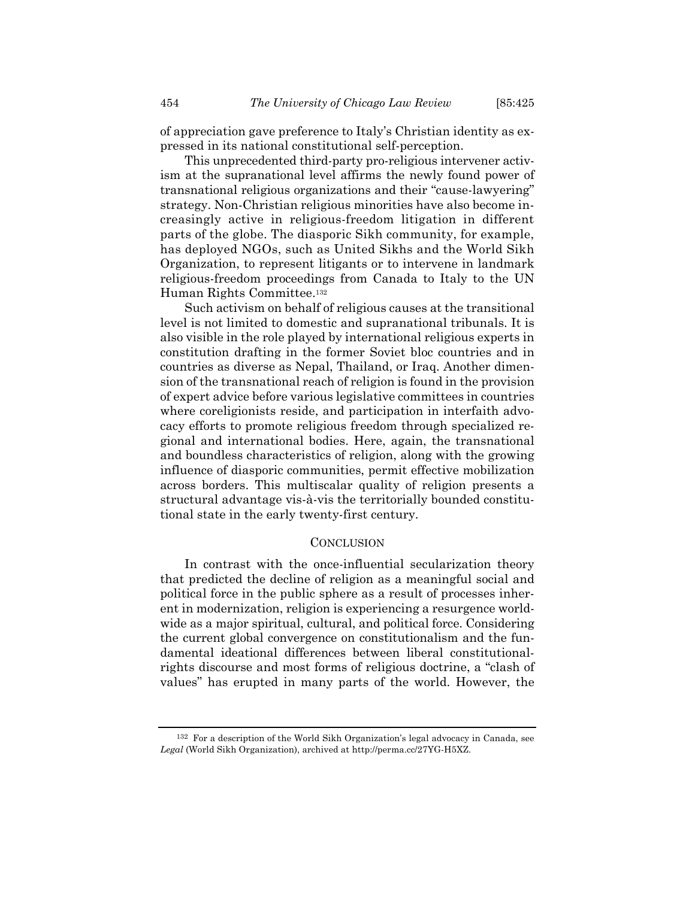of appreciation gave preference to Italy's Christian identity as expressed in its national constitutional self-perception.

This unprecedented third-party pro-religious intervener activism at the supranational level affirms the newly found power of transnational religious organizations and their "cause-lawyering" strategy. Non-Christian religious minorities have also become increasingly active in religious-freedom litigation in different parts of the globe. The diasporic Sikh community, for example, has deployed NGOs, such as United Sikhs and the World Sikh Organization, to represent litigants or to intervene in landmark religious-freedom proceedings from Canada to Italy to the UN Human Rights Committee.132

Such activism on behalf of religious causes at the transitional level is not limited to domestic and supranational tribunals. It is also visible in the role played by international religious experts in constitution drafting in the former Soviet bloc countries and in countries as diverse as Nepal, Thailand, or Iraq. Another dimension of the transnational reach of religion is found in the provision of expert advice before various legislative committees in countries where coreligionists reside, and participation in interfaith advocacy efforts to promote religious freedom through specialized regional and international bodies. Here, again, the transnational and boundless characteristics of religion, along with the growing influence of diasporic communities, permit effective mobilization across borders. This multiscalar quality of religion presents a structural advantage vis-à-vis the territorially bounded constitutional state in the early twenty-first century.

#### **CONCLUSION**

In contrast with the once-influential secularization theory that predicted the decline of religion as a meaningful social and political force in the public sphere as a result of processes inherent in modernization, religion is experiencing a resurgence worldwide as a major spiritual, cultural, and political force. Considering the current global convergence on constitutionalism and the fundamental ideational differences between liberal constitutionalrights discourse and most forms of religious doctrine, a "clash of values" has erupted in many parts of the world. However, the

<sup>132</sup> For a description of the World Sikh Organization's legal advocacy in Canada, see *Legal* (World Sikh Organization), archived at http://perma.cc/27YG-H5XZ.